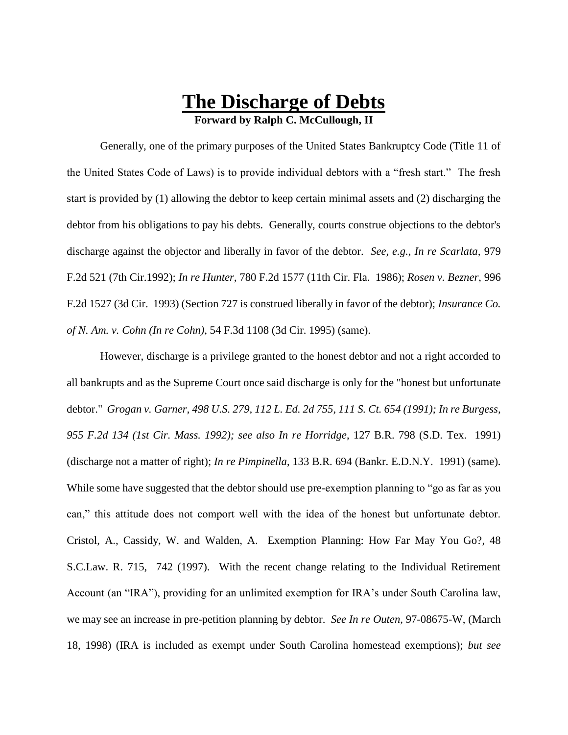# **The Discharge of Debts Forward by Ralph C. McCullough, II**

Generally, one of the primary purposes of the United States Bankruptcy Code (Title 11 of the United States Code of Laws) is to provide individual debtors with a "fresh start." The fresh start is provided by (1) allowing the debtor to keep certain minimal assets and (2) discharging the debtor from his obligations to pay his debts. Generally, courts construe objections to the debtor's discharge against the objector and liberally in favor of the debtor. *See, e.g.*, *In re Scarlata,* 979 F.2d 521 (7th Cir.1992); *In re Hunter,* 780 F.2d 1577 (11th Cir. Fla. 1986); *Rosen v. Bezner*, 996 F.2d 1527 (3d Cir. 1993) (Section 727 is construed liberally in favor of the debtor); *Insurance Co. of N. Am. v. Cohn (In re Cohn)*, 54 F.3d 1108 (3d Cir. 1995) (same).

However, discharge is a privilege granted to the honest debtor and not a right accorded to all bankrupts and as the Supreme Court once said discharge is only for the "honest but unfortunate debtor." *Grogan v. Garner, 498 U.S. 279, 112 L. Ed. 2d 755, 111 S. Ct. 654 (1991); In re Burgess, 955 F.2d 134 (1st Cir. Mass. 1992); see also In re Horridge*, 127 B.R. 798 (S.D. Tex. 1991) (discharge not a matter of right); *In re Pimpinella*, 133 B.R. 694 (Bankr. E.D.N.Y. 1991) (same). While some have suggested that the debtor should use pre-exemption planning to "go as far as you can," this attitude does not comport well with the idea of the honest but unfortunate debtor. Cristol, A., Cassidy, W. and Walden, A. Exemption Planning: How Far May You Go?, 48 S.C.Law. R. 715, 742 (1997). With the recent change relating to the Individual Retirement Account (an "IRA"), providing for an unlimited exemption for IRA's under South Carolina law, we may see an increase in pre-petition planning by debtor. *See In re Outen*, 97-08675-W, (March 18, 1998) (IRA is included as exempt under South Carolina homestead exemptions); *but see*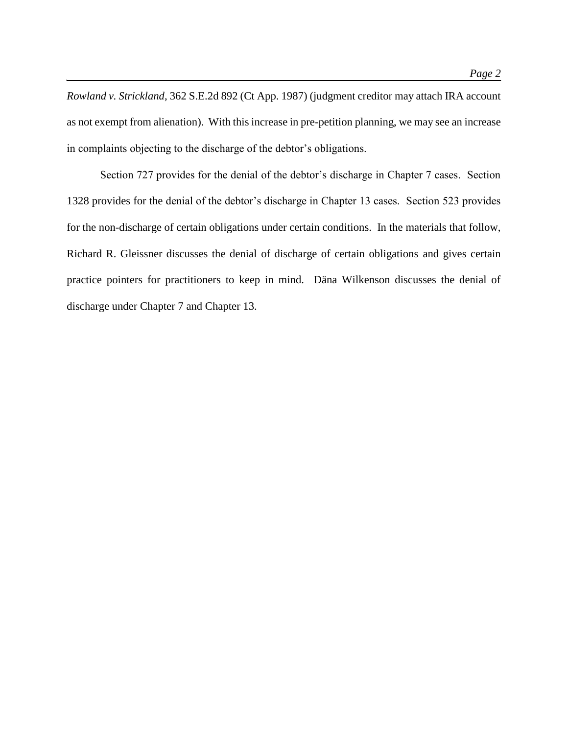*Rowland v. Strickland*, 362 S.E.2d 892 (Ct App. 1987) (judgment creditor may attach IRA account as not exempt from alienation). With this increase in pre-petition planning, we may see an increase in complaints objecting to the discharge of the debtor's obligations.

Section 727 provides for the denial of the debtor's discharge in Chapter 7 cases. Section 1328 provides for the denial of the debtor's discharge in Chapter 13 cases. Section 523 provides for the non-discharge of certain obligations under certain conditions. In the materials that follow, Richard R. Gleissner discusses the denial of discharge of certain obligations and gives certain practice pointers for practitioners to keep in mind. Däna Wilkenson discusses the denial of discharge under Chapter 7 and Chapter 13.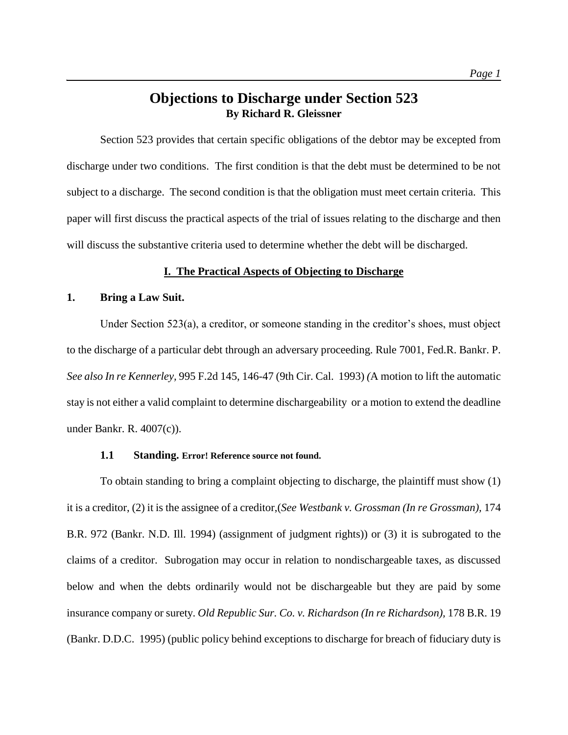# **Objections to Discharge under Section 523 By Richard R. Gleissner**

Section 523 provides that certain specific obligations of the debtor may be excepted from discharge under two conditions. The first condition is that the debt must be determined to be not subject to a discharge. The second condition is that the obligation must meet certain criteria. This paper will first discuss the practical aspects of the trial of issues relating to the discharge and then will discuss the substantive criteria used to determine whether the debt will be discharged.

# **I. The Practical Aspects of Objecting to Discharge**

# **1. Bring a Law Suit.**

Under Section 523(a), a creditor, or someone standing in the creditor's shoes, must object to the discharge of a particular debt through an adversary proceeding. Rule 7001, Fed.R. Bankr. P. *See also In re Kennerley,* 995 F.2d 145, 146-47 (9th Cir. Cal. 1993) *(*A motion to lift the automatic stay is not either a valid complaint to determine dischargeability or a motion to extend the deadline under Bankr. R. 4007(c)).

# **1.1 Standing. Error! Reference source not found.**

To obtain standing to bring a complaint objecting to discharge, the plaintiff must show (1) it is a creditor, (2) it is the assignee of a creditor,(*See Westbank v. Grossman (In re Grossman),* 174 B.R. 972 (Bankr. N.D. Ill. 1994) (assignment of judgment rights)) or (3) it is subrogated to the claims of a creditor. Subrogation may occur in relation to nondischargeable taxes, as discussed below and when the debts ordinarily would not be dischargeable but they are paid by some insurance company or surety. *Old Republic Sur. Co. v. Richardson (In re Richardson),* 178 B.R. 19 (Bankr. D.D.C. 1995) (public policy behind exceptions to discharge for breach of fiduciary duty is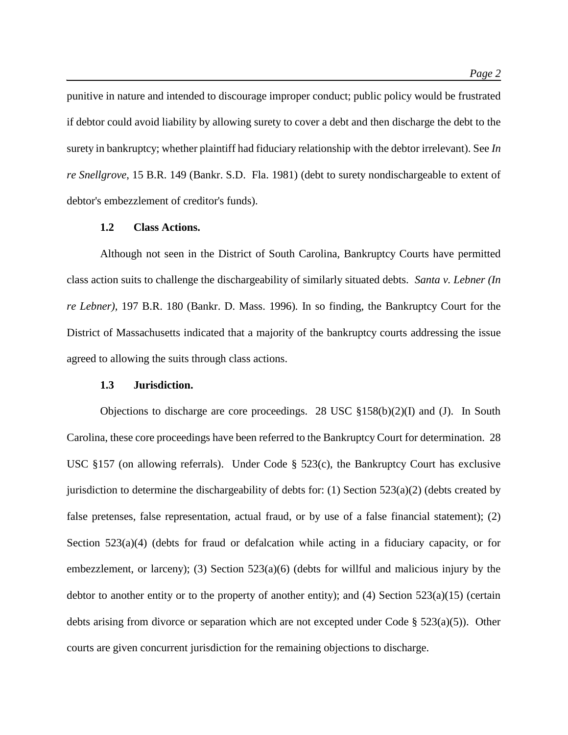punitive in nature and intended to discourage improper conduct; public policy would be frustrated if debtor could avoid liability by allowing surety to cover a debt and then discharge the debt to the surety in bankruptcy; whether plaintiff had fiduciary relationship with the debtor irrelevant). See *In re Snellgrove*, 15 B.R. 149 (Bankr. S.D. Fla. 1981) (debt to surety nondischargeable to extent of debtor's embezzlement of creditor's funds).

#### **1.2 Class Actions.**

Although not seen in the District of South Carolina, Bankruptcy Courts have permitted class action suits to challenge the dischargeability of similarly situated debts. *Santa v. Lebner (In re Lebner),* 197 B.R. 180 (Bankr. D. Mass. 1996)*.* In so finding, the Bankruptcy Court for the District of Massachusetts indicated that a majority of the bankruptcy courts addressing the issue agreed to allowing the suits through class actions.

#### **1.3 Jurisdiction.**

Objections to discharge are core proceedings. 28 USC §158(b)(2)(I) and (J). In South Carolina, these core proceedings have been referred to the Bankruptcy Court for determination. 28 USC §157 (on allowing referrals). Under Code § 523(c), the Bankruptcy Court has exclusive jurisdiction to determine the dischargeability of debts for: (1) Section  $523(a)(2)$  (debts created by false pretenses, false representation, actual fraud, or by use of a false financial statement); (2) Section  $523(a)(4)$  (debts for fraud or defalcation while acting in a fiduciary capacity, or for embezzlement, or larceny); (3) Section 523(a)(6) (debts for willful and malicious injury by the debtor to another entity or to the property of another entity); and  $(4)$  Section 523(a)(15) (certain debts arising from divorce or separation which are not excepted under Code  $\S$  523(a)(5)). Other courts are given concurrent jurisdiction for the remaining objections to discharge.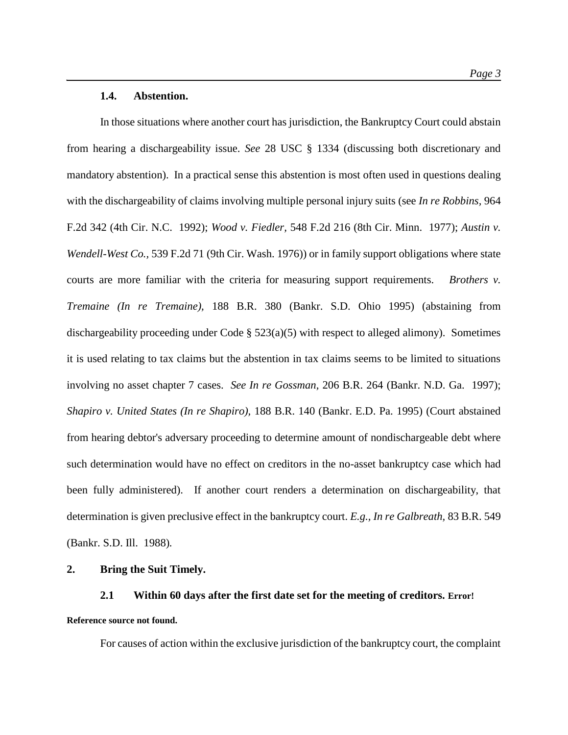#### **1.4. Abstention.**

In those situations where another court has jurisdiction, the Bankruptcy Court could abstain from hearing a dischargeability issue. *See* 28 USC § 1334 (discussing both discretionary and mandatory abstention). In a practical sense this abstention is most often used in questions dealing with the dischargeability of claims involving multiple personal injury suits (see *In re Robbins,* 964 F.2d 342 (4th Cir. N.C. 1992); *Wood v. Fiedler,* 548 F.2d 216 (8th Cir. Minn. 1977); *Austin v. Wendell-West Co.,* 539 F.2d 71 (9th Cir. Wash. 1976)) or in family support obligations where state courts are more familiar with the criteria for measuring support requirements. *Brothers v. Tremaine (In re Tremaine),* 188 B.R. 380 (Bankr. S.D. Ohio 1995) (abstaining from dischargeability proceeding under Code §  $523(a)(5)$  with respect to alleged alimony). Sometimes it is used relating to tax claims but the abstention in tax claims seems to be limited to situations involving no asset chapter 7 cases. *See In re Gossman,* 206 B.R. 264 (Bankr. N.D. Ga. 1997); *Shapiro v. United States (In re Shapiro),* 188 B.R. 140 (Bankr. E.D. Pa. 1995) (Court abstained from hearing debtor's adversary proceeding to determine amount of nondischargeable debt where such determination would have no effect on creditors in the no-asset bankruptcy case which had been fully administered). If another court renders a determination on dischargeability, that determination is given preclusive effect in the bankruptcy court. *E.g., In re Galbreath,* 83 B.R. 549 (Bankr. S.D. Ill. 1988)*.*

# **2. Bring the Suit Timely.**

# **2.1 Within 60 days after the first date set for the meeting of creditors. Error! Reference source not found.**

For causes of action within the exclusive jurisdiction of the bankruptcy court, the complaint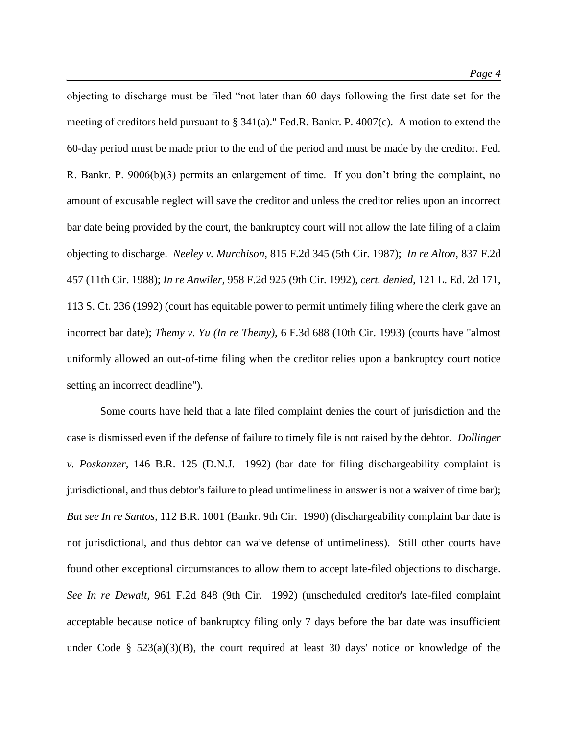objecting to discharge must be filed "not later than 60 days following the first date set for the meeting of creditors held pursuant to § 341(a)." Fed.R. Bankr. P. 4007(c). A motion to extend the 60-day period must be made prior to the end of the period and must be made by the creditor. Fed. R. Bankr. P. 9006(b)(3) permits an enlargement of time. If you don't bring the complaint, no amount of excusable neglect will save the creditor and unless the creditor relies upon an incorrect bar date being provided by the court, the bankruptcy court will not allow the late filing of a claim objecting to discharge. *Neeley v. Murchison,* 815 F.2d 345 (5th Cir. 1987); *In re Alton,* 837 F.2d 457 (11th Cir. 1988); *In re Anwiler,* 958 F.2d 925 (9th Cir. 1992)*, cert. denied*, 121 L. Ed. 2d 171, 113 S. Ct. 236 (1992) (court has equitable power to permit untimely filing where the clerk gave an incorrect bar date); *Themy v. Yu (In re Themy),* 6 F.3d 688 (10th Cir. 1993) (courts have "almost uniformly allowed an out-of-time filing when the creditor relies upon a bankruptcy court notice setting an incorrect deadline").

Some courts have held that a late filed complaint denies the court of jurisdiction and the case is dismissed even if the defense of failure to timely file is not raised by the debtor. *Dollinger v. Poskanzer,* 146 B.R. 125 (D.N.J. 1992) (bar date for filing dischargeability complaint is jurisdictional, and thus debtor's failure to plead untimeliness in answer is not a waiver of time bar); *But see In re Santos,* 112 B.R. 1001 (Bankr. 9th Cir. 1990) (dischargeability complaint bar date is not jurisdictional, and thus debtor can waive defense of untimeliness). Still other courts have found other exceptional circumstances to allow them to accept late-filed objections to discharge. *See In re Dewalt,* 961 F.2d 848 (9th Cir. 1992) (unscheduled creditor's late-filed complaint acceptable because notice of bankruptcy filing only 7 days before the bar date was insufficient under Code §  $523(a)(3)(B)$ , the court required at least 30 days' notice or knowledge of the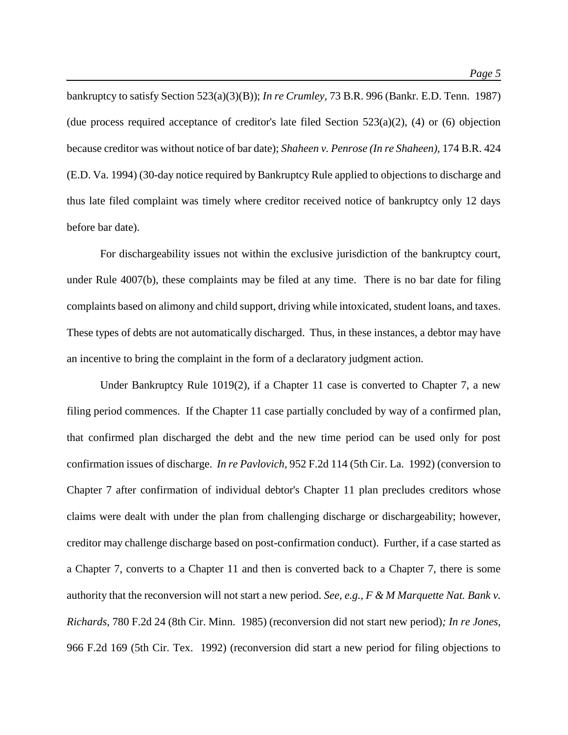bankruptcy to satisfy Section 523(a)(3)(B)); *In re Crumley,* 73 B.R. 996 (Bankr. E.D. Tenn. 1987) (due process required acceptance of creditor's late filed Section  $523(a)(2)$ , (4) or (6) objection because creditor was without notice of bar date); *Shaheen v. Penrose (In re Shaheen),* 174 B.R. 424 (E.D. Va. 1994) (30-day notice required by Bankruptcy Rule applied to objections to discharge and thus late filed complaint was timely where creditor received notice of bankruptcy only 12 days before bar date).

For dischargeability issues not within the exclusive jurisdiction of the bankruptcy court, under Rule 4007(b), these complaints may be filed at any time. There is no bar date for filing complaints based on alimony and child support, driving while intoxicated, student loans, and taxes. These types of debts are not automatically discharged. Thus, in these instances, a debtor may have an incentive to bring the complaint in the form of a declaratory judgment action.

Under Bankruptcy Rule 1019(2), if a Chapter 11 case is converted to Chapter 7, a new filing period commences. If the Chapter 11 case partially concluded by way of a confirmed plan, that confirmed plan discharged the debt and the new time period can be used only for post confirmation issues of discharge. *In re Pavlovich,* 952 F.2d 114 (5th Cir. La. 1992) (conversion to Chapter 7 after confirmation of individual debtor's Chapter 11 plan precludes creditors whose claims were dealt with under the plan from challenging discharge or dischargeability; however, creditor may challenge discharge based on post-confirmation conduct). Further, if a case started as a Chapter 7, converts to a Chapter 11 and then is converted back to a Chapter 7, there is some authority that the reconversion will not start a new period. *See, e.g., F & M Marquette Nat. Bank v. Richards,* 780 F.2d 24 (8th Cir. Minn. 1985) (reconversion did not start new period)*; In re Jones,*  966 F.2d 169 (5th Cir. Tex. 1992) (reconversion did start a new period for filing objections to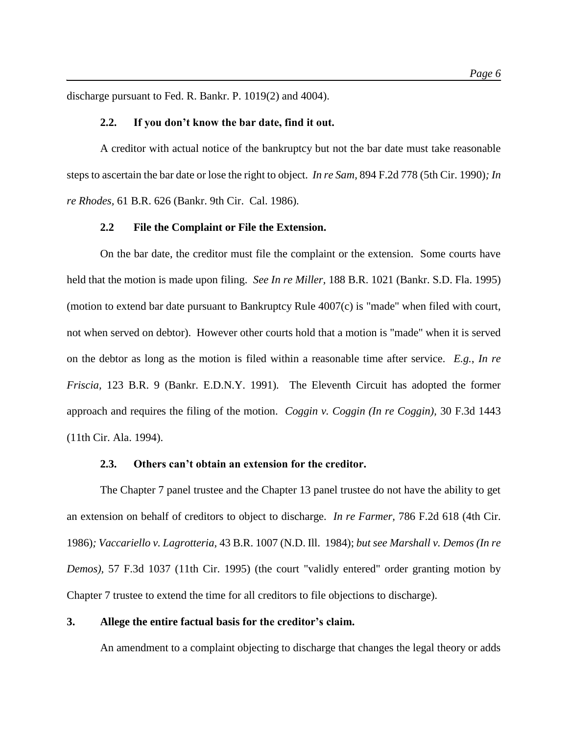discharge pursuant to Fed. R. Bankr. P. 1019(2) and 4004).

#### **2.2. If you don't know the bar date, find it out.**

A creditor with actual notice of the bankruptcy but not the bar date must take reasonable steps to ascertain the bar date or lose the right to object. *In re Sam,* 894 F.2d 778 (5th Cir. 1990)*; In re Rhodes,* 61 B.R. 626 (Bankr. 9th Cir. Cal. 1986)*.*

#### **2.2 File the Complaint or File the Extension.**

On the bar date, the creditor must file the complaint or the extension. Some courts have held that the motion is made upon filing. *See In re Miller,* 188 B.R. 1021 (Bankr. S.D. Fla. 1995) (motion to extend bar date pursuant to Bankruptcy Rule 4007(c) is "made" when filed with court, not when served on debtor). However other courts hold that a motion is "made" when it is served on the debtor as long as the motion is filed within a reasonable time after service. *E.g.*, *In re Friscia,* 123 B.R. 9 (Bankr. E.D.N.Y. 1991)*.* The Eleventh Circuit has adopted the former approach and requires the filing of the motion. *Coggin v. Coggin (In re Coggin),* 30 F.3d 1443 (11th Cir. Ala. 1994).

#### **2.3. Others can't obtain an extension for the creditor.**

The Chapter 7 panel trustee and the Chapter 13 panel trustee do not have the ability to get an extension on behalf of creditors to object to discharge. *In re Farmer,* 786 F.2d 618 (4th Cir. 1986)*; Vaccariello v. Lagrotteria,* 43 B.R. 1007 (N.D. Ill. 1984); *but see Marshall v. Demos (In re Demos),* 57 F.3d 1037 (11th Cir. 1995) (the court "validly entered" order granting motion by Chapter 7 trustee to extend the time for all creditors to file objections to discharge).

#### **3. Allege the entire factual basis for the creditor's claim.**

An amendment to a complaint objecting to discharge that changes the legal theory or adds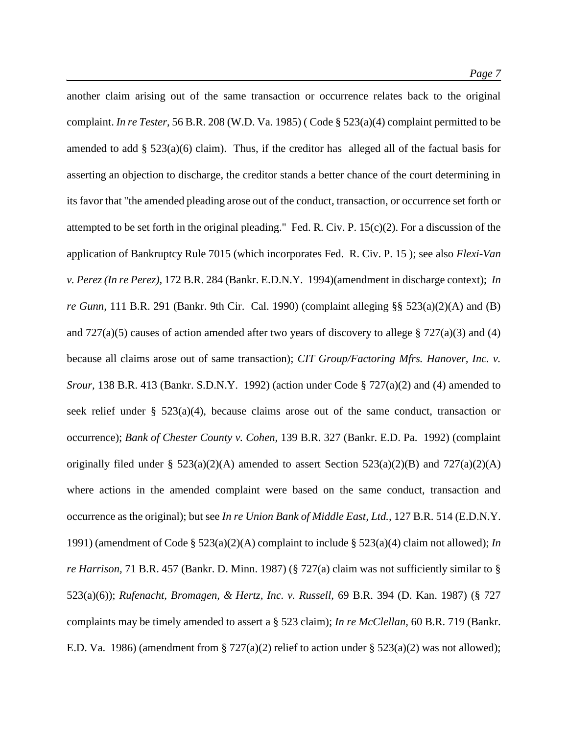another claim arising out of the same transaction or occurrence relates back to the original complaint. *In re Tester,* 56 B.R. 208 (W.D. Va. 1985) ( Code § 523(a)(4) complaint permitted to be amended to add  $\S$  523(a)(6) claim). Thus, if the creditor has alleged all of the factual basis for asserting an objection to discharge, the creditor stands a better chance of the court determining in its favor that "the amended pleading arose out of the conduct, transaction, or occurrence set forth or attempted to be set forth in the original pleading." Fed. R. Civ. P.  $15(c)(2)$ . For a discussion of the application of Bankruptcy Rule 7015 (which incorporates Fed. R. Civ. P. 15 ); see also *Flexi-Van v. Perez (In re Perez),* 172 B.R. 284 (Bankr. E.D.N.Y. 1994)(amendment in discharge context); *In re Gunn,* 111 B.R. 291 (Bankr. 9th Cir. Cal. 1990) (complaint alleging §§ 523(a)(2)(A) and (B) and  $727(a)(5)$  causes of action amended after two years of discovery to allege § 727(a)(3) and (4) because all claims arose out of same transaction); *CIT Group/Factoring Mfrs. Hanover, Inc. v. Srour,* 138 B.R. 413 (Bankr. S.D.N.Y. 1992) (action under Code § 727(a)(2) and (4) amended to seek relief under §  $523(a)(4)$ , because claims arose out of the same conduct, transaction or occurrence); *Bank of Chester County v. Cohen,* 139 B.R. 327 (Bankr. E.D. Pa. 1992) (complaint originally filed under §  $523(a)(2)(A)$  amended to assert Section  $523(a)(2)(B)$  and  $727(a)(2)(A)$ where actions in the amended complaint were based on the same conduct, transaction and occurrence as the original); but see *In re Union Bank of Middle East, Ltd.,* 127 B.R. 514 (E.D.N.Y. 1991) (amendment of Code § 523(a)(2)(A) complaint to include § 523(a)(4) claim not allowed); *In re Harrison,* 71 B.R. 457 (Bankr. D. Minn. 1987) (§ 727(a) claim was not sufficiently similar to § 523(a)(6)); *Rufenacht, Bromagen, & Hertz, Inc. v. Russell,* 69 B.R. 394 (D. Kan. 1987) (§ 727 complaints may be timely amended to assert a § 523 claim); *In re McClellan,* 60 B.R. 719 (Bankr. E.D. Va. 1986) (amendment from § 727(a)(2) relief to action under § 523(a)(2) was not allowed);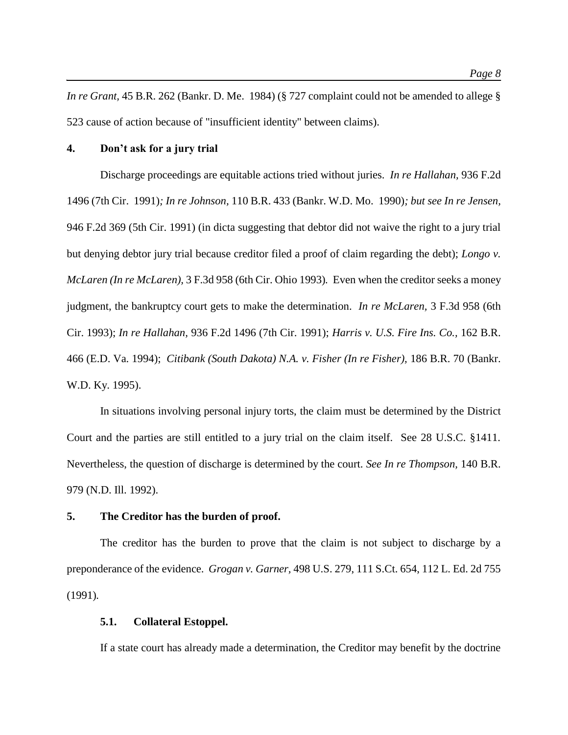*In re Grant,* 45 B.R. 262 (Bankr. D. Me. 1984) (§ 727 complaint could not be amended to allege § 523 cause of action because of "insufficient identity" between claims).

# **4. Don't ask for a jury trial**

Discharge proceedings are equitable actions tried without juries. *In re Hallahan,* 936 F.2d 1496 (7th Cir. 1991)*; In re Johnson,* 110 B.R. 433 (Bankr. W.D. Mo. 1990)*; but see In re Jensen,*  946 F.2d 369 (5th Cir. 1991) (in dicta suggesting that debtor did not waive the right to a jury trial but denying debtor jury trial because creditor filed a proof of claim regarding the debt); *Longo v. McLaren (In re McLaren),* 3 F.3d 958 (6th Cir. Ohio 1993)*.* Even when the creditor seeks a money judgment, the bankruptcy court gets to make the determination. *In re McLaren,* 3 F.3d 958 (6th Cir. 1993); *In re Hallahan,* 936 F.2d 1496 (7th Cir. 1991); *Harris v. U.S. Fire Ins. Co.,* 162 B.R. 466 (E.D. Va. 1994); *Citibank (South Dakota) N.A. v. Fisher (In re Fisher),* 186 B.R. 70 (Bankr. W.D. Ky. 1995).

In situations involving personal injury torts, the claim must be determined by the District Court and the parties are still entitled to a jury trial on the claim itself. See 28 U.S.C. §1411. Nevertheless, the question of discharge is determined by the court. *See In re Thompson,* 140 B.R. 979 (N.D. Ill. 1992).

#### **5. The Creditor has the burden of proof.**

The creditor has the burden to prove that the claim is not subject to discharge by a preponderance of the evidence. *Grogan v. Garner,* 498 U.S. 279, 111 S.Ct. 654, 112 L. Ed. 2d 755 (1991)*.*

# **5.1. Collateral Estoppel.**

If a state court has already made a determination, the Creditor may benefit by the doctrine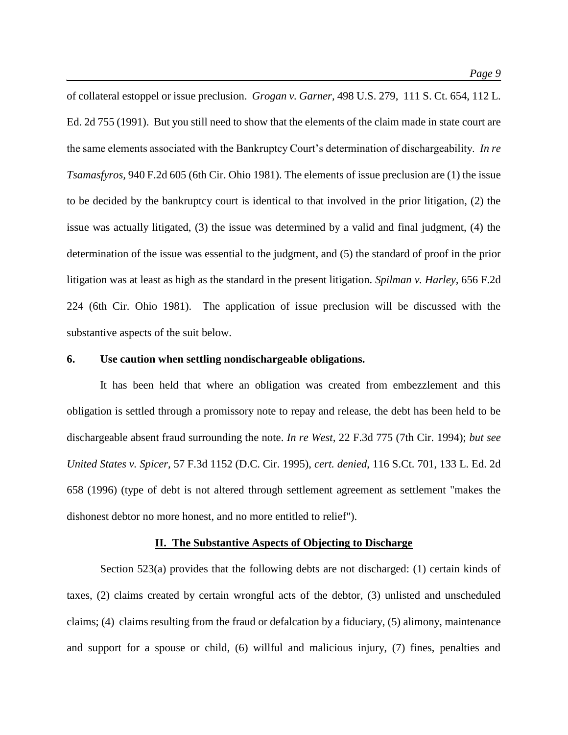of collateral estoppel or issue preclusion. *Grogan v. Garner,* 498 U.S. 279, 111 S. Ct. 654, 112 L. Ed. 2d 755 (1991). But you still need to show that the elements of the claim made in state court are the same elements associated with the Bankruptcy Court's determination of dischargeability. *In re Tsamasfyros,* 940 F.2d 605 (6th Cir. Ohio 1981). The elements of issue preclusion are (1) the issue to be decided by the bankruptcy court is identical to that involved in the prior litigation, (2) the issue was actually litigated, (3) the issue was determined by a valid and final judgment, (4) the determination of the issue was essential to the judgment, and (5) the standard of proof in the prior litigation was at least as high as the standard in the present litigation. *Spilman v. Harley,* 656 F.2d 224 (6th Cir. Ohio 1981). The application of issue preclusion will be discussed with the substantive aspects of the suit below.

# **6. Use caution when settling nondischargeable obligations.**

It has been held that where an obligation was created from embezzlement and this obligation is settled through a promissory note to repay and release, the debt has been held to be dischargeable absent fraud surrounding the note. *In re West,* 22 F.3d 775 (7th Cir. 1994); *but see United States v. Spicer,* 57 F.3d 1152 (D.C. Cir. 1995), *cert. denied*, 116 S.Ct. 701, 133 L. Ed. 2d 658 (1996) (type of debt is not altered through settlement agreement as settlement "makes the dishonest debtor no more honest, and no more entitled to relief").

#### **II. The Substantive Aspects of Objecting to Discharge**

Section 523(a) provides that the following debts are not discharged: (1) certain kinds of taxes, (2) claims created by certain wrongful acts of the debtor, (3) unlisted and unscheduled claims; (4) claims resulting from the fraud or defalcation by a fiduciary, (5) alimony, maintenance and support for a spouse or child, (6) willful and malicious injury, (7) fines, penalties and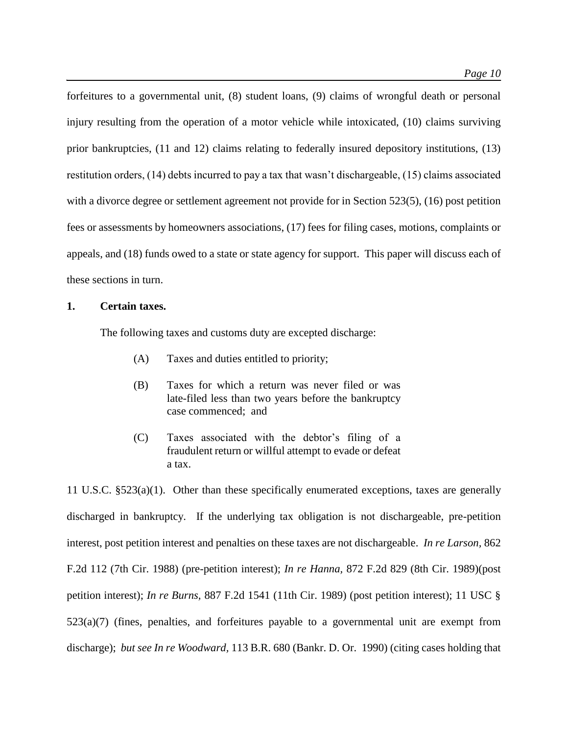forfeitures to a governmental unit, (8) student loans, (9) claims of wrongful death or personal injury resulting from the operation of a motor vehicle while intoxicated, (10) claims surviving prior bankruptcies, (11 and 12) claims relating to federally insured depository institutions, (13) restitution orders, (14) debts incurred to pay a tax that wasn't dischargeable, (15) claims associated with a divorce degree or settlement agreement not provide for in Section 523(5), (16) post petition fees or assessments by homeowners associations, (17) fees for filing cases, motions, complaints or appeals, and (18) funds owed to a state or state agency for support. This paper will discuss each of these sections in turn.

# **1. Certain taxes.**

The following taxes and customs duty are excepted discharge:

- (A) Taxes and duties entitled to priority;
- (B) Taxes for which a return was never filed or was late-filed less than two years before the bankruptcy case commenced; and
- (C) Taxes associated with the debtor's filing of a fraudulent return or willful attempt to evade or defeat a tax.

11 U.S.C. §523(a)(1). Other than these specifically enumerated exceptions, taxes are generally discharged in bankruptcy. If the underlying tax obligation is not dischargeable, pre-petition interest, post petition interest and penalties on these taxes are not dischargeable. *In re Larson,* 862 F.2d 112 (7th Cir. 1988) (pre-petition interest); *In re Hanna,* 872 F.2d 829 (8th Cir. 1989)(post petition interest); *In re Burns,* 887 F.2d 1541 (11th Cir. 1989) (post petition interest); 11 USC §  $523(a)(7)$  (fines, penalties, and forfeitures payable to a governmental unit are exempt from discharge); *but see In re Woodward,* 113 B.R. 680 (Bankr. D. Or. 1990) (citing cases holding that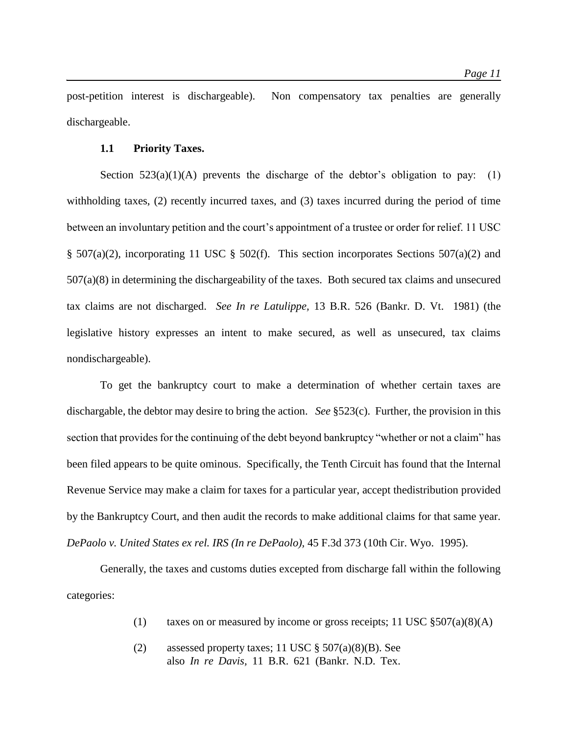post-petition interest is dischargeable). Non compensatory tax penalties are generally dischargeable.

# **1.1 Priority Taxes.**

Section  $523(a)(1)(A)$  prevents the discharge of the debtor's obligation to pay: (1) withholding taxes, (2) recently incurred taxes, and (3) taxes incurred during the period of time between an involuntary petition and the court's appointment of a trustee or order for relief. 11 USC § 507(a)(2), incorporating 11 USC § 502(f). This section incorporates Sections 507(a)(2) and 507(a)(8) in determining the dischargeability of the taxes. Both secured tax claims and unsecured tax claims are not discharged. *See In re Latulippe,* 13 B.R. 526 (Bankr. D. Vt. 1981) (the legislative history expresses an intent to make secured, as well as unsecured, tax claims nondischargeable).

To get the bankruptcy court to make a determination of whether certain taxes are dischargable, the debtor may desire to bring the action. *See* §523(c). Further, the provision in this section that provides for the continuing of the debt beyond bankruptcy "whether or not a claim" has been filed appears to be quite ominous. Specifically, the Tenth Circuit has found that the Internal Revenue Service may make a claim for taxes for a particular year, accept thedistribution provided by the Bankruptcy Court, and then audit the records to make additional claims for that same year. *DePaolo v. United States ex rel. IRS (In re DePaolo),* 45 F.3d 373 (10th Cir. Wyo. 1995).

Generally, the taxes and customs duties excepted from discharge fall within the following categories:

- (1) taxes on or measured by income or gross receipts; 11 USC  $\S 507(a)(8)(A)$
- (2) assessed property taxes; 11 USC § 507(a)(8)(B). See also *In re Davis,* 11 B.R. 621 (Bankr. N.D. Tex.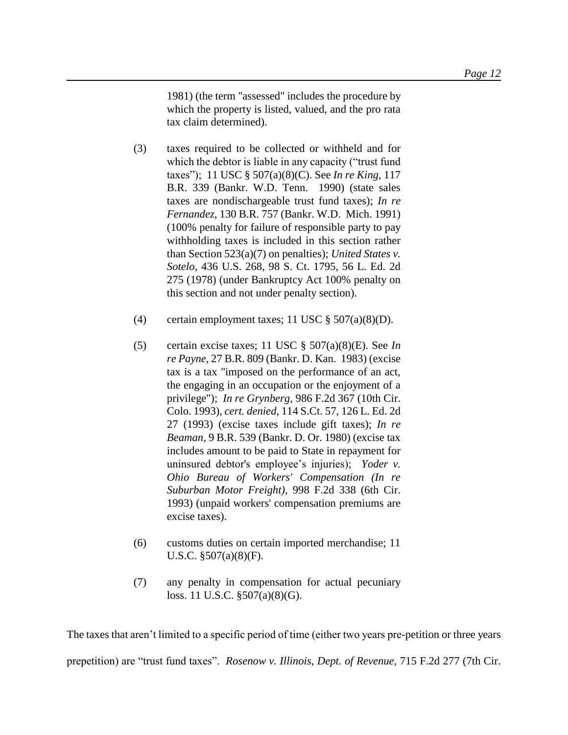1981) (the term "assessed" includes the procedure by which the property is listed, valued, and the pro rata tax claim determined).

- (3) taxes required to be collected or withheld and for which the debtor is liable in any capacity ("trust fund taxes"); 11 USC § 507(a)(8)(C). See *In re King,* 117 B.R. 339 (Bankr. W.D. Tenn. 1990) (state sales taxes are nondischargeable trust fund taxes); *In re Fernandez,* 130 B.R. 757 (Bankr. W.D. Mich. 1991) (100% penalty for failure of responsible party to pay withholding taxes is included in this section rather than Section 523(a)(7) on penalties); *United States v. Sotelo,* 436 U.S. 268, 98 S. Ct. 1795, 56 L. Ed. 2d 275 (1978) (under Bankruptcy Act 100% penalty on this section and not under penalty section).
- (4) certain employment taxes; 11 USC  $\S 507(a)(8)(D)$ .
- (5) certain excise taxes; 11 USC § 507(a)(8)(E). See *In re Payne,* 27 B.R. 809 (Bankr. D. Kan. 1983) (excise tax is a tax "imposed on the performance of an act, the engaging in an occupation or the enjoyment of a privilege"); *In re Grynberg,* 986 F.2d 367 (10th Cir. Colo. 1993), *cert. denied*, 114 S.Ct. 57, 126 L. Ed. 2d 27 (1993) (excise taxes include gift taxes); *In re Beaman,* 9 B.R. 539 (Bankr. D. Or. 1980) (excise tax includes amount to be paid to State in repayment for uninsured debtor's employee's injuries); *Yoder v. Ohio Bureau of Workers' Compensation (In re Suburban Motor Freight),* 998 F.2d 338 (6th Cir. 1993) (unpaid workers' compensation premiums are excise taxes).
- (6) customs duties on certain imported merchandise; 11 U.S.C. §507(a)(8)(F).
- (7) any penalty in compensation for actual pecuniary loss. 11 U.S.C. §507(a)(8)(G).

The taxes that aren't limited to a specific period of time (either two years pre-petition or three years

prepetition) are "trust fund taxes". *Rosenow v. Illinois, Dept. of Revenue,* 715 F.2d 277 (7th Cir.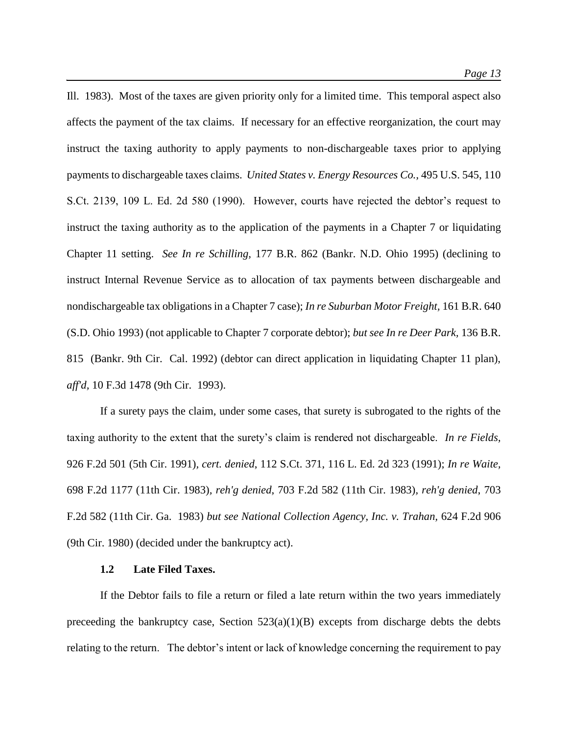Ill. 1983). Most of the taxes are given priority only for a limited time. This temporal aspect also affects the payment of the tax claims. If necessary for an effective reorganization, the court may instruct the taxing authority to apply payments to non-dischargeable taxes prior to applying payments to dischargeable taxes claims. *United States v. Energy Resources Co.,* 495 U.S. 545, 110 S.Ct. 2139, 109 L. Ed. 2d 580 (1990). However, courts have rejected the debtor's request to instruct the taxing authority as to the application of the payments in a Chapter 7 or liquidating Chapter 11 setting. *See In re Schilling,* 177 B.R. 862 (Bankr. N.D. Ohio 1995) (declining to instruct Internal Revenue Service as to allocation of tax payments between dischargeable and nondischargeable tax obligations in a Chapter 7 case); *In re Suburban Motor Freight,* 161 B.R. 640 (S.D. Ohio 1993) (not applicable to Chapter 7 corporate debtor); *but see In re Deer Park,* 136 B.R. 815 (Bankr. 9th Cir. Cal. 1992) (debtor can direct application in liquidating Chapter 11 plan), *aff'd,* 10 F.3d 1478 (9th Cir. 1993).

If a surety pays the claim, under some cases, that surety is subrogated to the rights of the taxing authority to the extent that the surety's claim is rendered not dischargeable. *In re Fields,*  926 F.2d 501 (5th Cir. 1991)*, cert. denied*, 112 S.Ct. 371, 116 L. Ed. 2d 323 (1991); *In re Waite,*  698 F.2d 1177 (11th Cir. 1983)*, reh'g denied*, 703 F.2d 582 (11th Cir. 1983)*, reh'g denied*, 703 F.2d 582 (11th Cir. Ga. 1983) *but see National Collection Agency, Inc. v. Trahan,* 624 F.2d 906 (9th Cir. 1980) (decided under the bankruptcy act).

# **1.2 Late Filed Taxes.**

If the Debtor fails to file a return or filed a late return within the two years immediately preceeding the bankruptcy case, Section  $523(a)(1)(B)$  excepts from discharge debts the debts relating to the return. The debtor's intent or lack of knowledge concerning the requirement to pay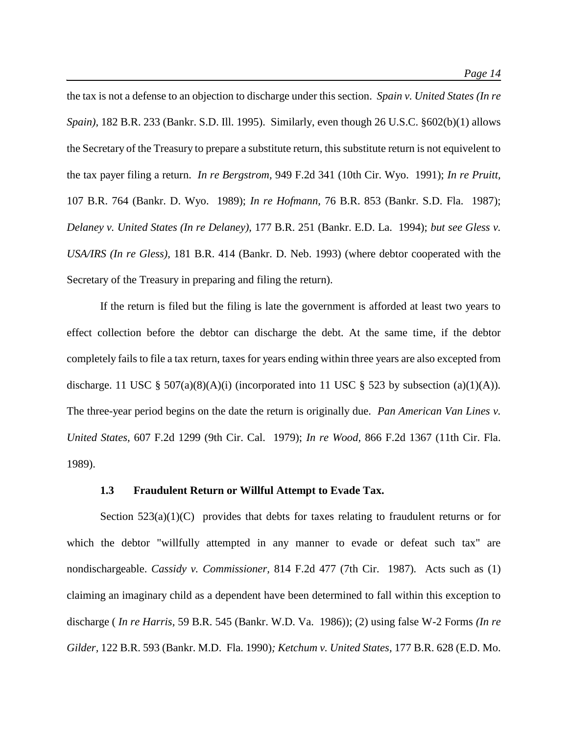the tax is not a defense to an objection to discharge under this section. *Spain v. United States (In re Spain),* 182 B.R. 233 (Bankr. S.D. Ill. 1995). Similarly, even though 26 U.S.C. §602(b)(1) allows the Secretary of the Treasury to prepare a substitute return, this substitute return is not equivelent to the tax payer filing a return. *In re Bergstrom,* 949 F.2d 341 (10th Cir. Wyo. 1991); *In re Pruitt,*  107 B.R. 764 (Bankr. D. Wyo. 1989); *In re Hofmann,* 76 B.R. 853 (Bankr. S.D. Fla. 1987); *Delaney v. United States (In re Delaney),* 177 B.R. 251 (Bankr. E.D. La. 1994); *but see Gless v. USA/IRS (In re Gless),* 181 B.R. 414 (Bankr. D. Neb. 1993) (where debtor cooperated with the Secretary of the Treasury in preparing and filing the return).

If the return is filed but the filing is late the government is afforded at least two years to effect collection before the debtor can discharge the debt. At the same time, if the debtor completely fails to file a tax return, taxes for years ending within three years are also excepted from discharge. 11 USC  $\S$  507(a)(8)(A)(i) (incorporated into 11 USC  $\S$  523 by subsection (a)(1)(A)). The three-year period begins on the date the return is originally due. *Pan American Van Lines v. United States,* 607 F.2d 1299 (9th Cir. Cal. 1979); *In re Wood,* 866 F.2d 1367 (11th Cir. Fla. 1989).

#### **1.3 Fraudulent Return or Willful Attempt to Evade Tax.**

Section  $523(a)(1)(C)$  provides that debts for taxes relating to fraudulent returns or for which the debtor "willfully attempted in any manner to evade or defeat such tax" are nondischargeable. *Cassidy v. Commissioner,* 814 F.2d 477 (7th Cir. 1987)*.* Acts such as (1) claiming an imaginary child as a dependent have been determined to fall within this exception to discharge ( *In re Harris,* 59 B.R. 545 (Bankr. W.D. Va. 1986)); (2) using false W-2 Forms *(In re Gilder,* 122 B.R. 593 (Bankr. M.D. Fla. 1990)*; Ketchum v. United States,* 177 B.R. 628 (E.D. Mo.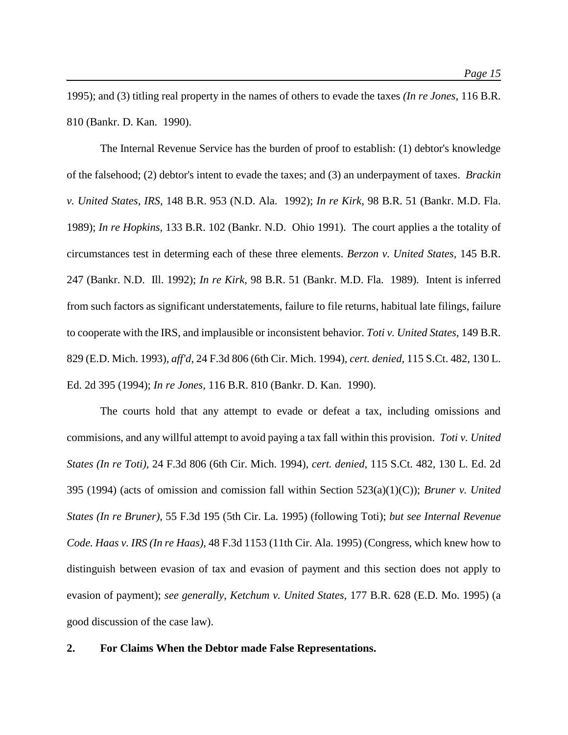1995); and (3) titling real property in the names of others to evade the taxes *(In re Jones,* 116 B.R. 810 (Bankr. D. Kan. 1990).

The Internal Revenue Service has the burden of proof to establish: (1) debtor's knowledge of the falsehood; (2) debtor's intent to evade the taxes; and (3) an underpayment of taxes. *Brackin v. United States, IRS,* 148 B.R. 953 (N.D. Ala. 1992); *In re Kirk,* 98 B.R. 51 (Bankr. M.D. Fla. 1989); *In re Hopkins,* 133 B.R. 102 (Bankr. N.D. Ohio 1991). The court applies a the totality of circumstances test in determing each of these three elements. *Berzon v. United States,* 145 B.R. 247 (Bankr. N.D. Ill. 1992); *In re Kirk,* 98 B.R. 51 (Bankr. M.D. Fla. 1989)*.* Intent is inferred from such factors as significant understatements, failure to file returns, habitual late filings, failure to cooperate with the IRS, and implausible or inconsistent behavior. *Toti v. United States,* 149 B.R. 829 (E.D. Mich. 1993)*, aff'd*, 24 F.3d 806 (6th Cir. Mich. 1994)*, cert. denied*, 115 S.Ct. 482, 130 L. Ed. 2d 395 (1994); *In re Jones,* 116 B.R. 810 (Bankr. D. Kan. 1990).

The courts hold that any attempt to evade or defeat a tax, including omissions and commisions, and any willful attempt to avoid paying a tax fall within this provision. *Toti v. United States (In re Toti),* 24 F.3d 806 (6th Cir. Mich. 1994), *cert. denied*, 115 S.Ct. 482, 130 L. Ed. 2d 395 (1994) (acts of omission and comission fall within Section 523(a)(1)(C)); *Bruner v. United States (In re Bruner),* 55 F.3d 195 (5th Cir. La. 1995) (following Toti); *but see Internal Revenue Code. Haas v. IRS (In re Haas),* 48 F.3d 1153 (11th Cir. Ala. 1995) (Congress, which knew how to distinguish between evasion of tax and evasion of payment and this section does not apply to evasion of payment); *see generally*, *Ketchum v. United States,* 177 B.R. 628 (E.D. Mo. 1995) (a good discussion of the case law).

#### **2. For Claims When the Debtor made False Representations.**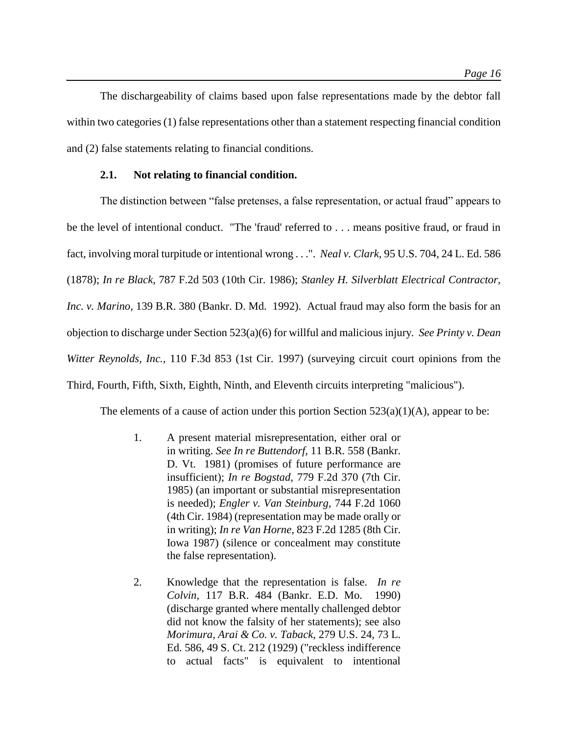The dischargeability of claims based upon false representations made by the debtor fall within two categories (1) false representations other than a statement respecting financial condition and (2) false statements relating to financial conditions.

# **2.1. Not relating to financial condition.**

The distinction between "false pretenses, a false representation, or actual fraud" appears to be the level of intentional conduct. "The 'fraud' referred to . . . means positive fraud, or fraud in fact, involving moral turpitude or intentional wrong . . .". *Neal v. Clark,* 95 U.S. 704, 24 L. Ed. 586 (1878); *In re Black,* 787 F.2d 503 (10th Cir. 1986); *Stanley H. Silverblatt Electrical Contractor, Inc. v. Marino,* 139 B.R. 380 (Bankr. D. Md. 1992). Actual fraud may also form the basis for an objection to discharge under Section 523(a)(6) for willful and malicious injury. *See Printy v. Dean Witter Reynolds, Inc.,* 110 F.3d 853 (1st Cir. 1997) (surveying circuit court opinions from the Third, Fourth, Fifth, Sixth, Eighth, Ninth, and Eleventh circuits interpreting "malicious").

The elements of a cause of action under this portion Section  $523(a)(1)(A)$ , appear to be:

- 1. A present material misrepresentation, either oral or in writing. *See In re Buttendorf,* 11 B.R. 558 (Bankr. D. Vt. 1981) (promises of future performance are insufficient); *In re Bogstad,* 779 F.2d 370 (7th Cir. 1985) (an important or substantial misrepresentation is needed); *Engler v. Van Steinburg,* 744 F.2d 1060 (4th Cir. 1984) (representation may be made orally or in writing); *In re Van Horne,* 823 F.2d 1285 (8th Cir. Iowa 1987) (silence or concealment may constitute the false representation).
- 2. Knowledge that the representation is false. *In re Colvin,* 117 B.R. 484 (Bankr. E.D. Mo. 1990) (discharge granted where mentally challenged debtor did not know the falsity of her statements); see also *Morimura, Arai & Co. v. Taback,* 279 U.S. 24, 73 L. Ed. 586, 49 S. Ct. 212 (1929) ("reckless indifference to actual facts" is equivalent to intentional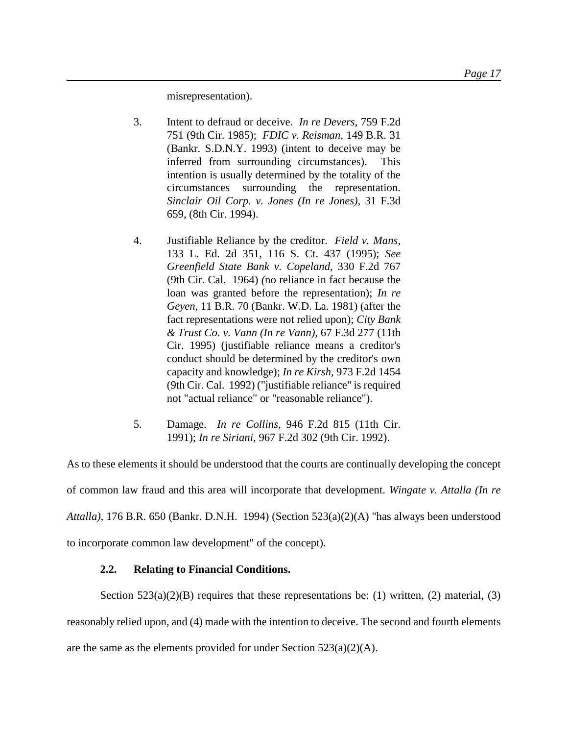misrepresentation).

- 3. Intent to defraud or deceive. *In re Devers,* 759 F.2d 751 (9th Cir. 1985); *FDIC v. Reisman,* 149 B.R. 31 (Bankr. S.D.N.Y. 1993) (intent to deceive may be inferred from surrounding circumstances). This intention is usually determined by the totality of the circumstances surrounding the representation. *Sinclair Oil Corp. v. Jones (In re Jones),* 31 F.3d 659, (8th Cir. 1994).
- 4. Justifiable Reliance by the creditor. *Field v. Mans,*  133 L. Ed. 2d 351, 116 S. Ct. 437 (1995); *See Greenfield State Bank v. Copeland,* 330 F.2d 767 (9th Cir. Cal. 1964) *(*no reliance in fact because the loan was granted before the representation); *In re Geyen,* 11 B.R. 70 (Bankr. W.D. La. 1981) (after the fact representations were not relied upon); *City Bank & Trust Co. v. Vann (In re Vann),* 67 F.3d 277 (11th Cir. 1995) (justifiable reliance means a creditor's conduct should be determined by the creditor's own capacity and knowledge); *In re Kirsh,* 973 F.2d 1454 (9th Cir. Cal. 1992) ("justifiable reliance" is required not "actual reliance" or "reasonable reliance").
- 5. Damage. *In re Collins,* 946 F.2d 815 (11th Cir. 1991); *In re Siriani,* 967 F.2d 302 (9th Cir. 1992).

As to these elements it should be understood that the courts are continually developing the concept of common law fraud and this area will incorporate that development. *Wingate v. Attalla (In re Attalla),* 176 B.R. 650 (Bankr. D.N.H. 1994) (Section 523(a)(2)(A) "has always been understood to incorporate common law development" of the concept).

# **2.2. Relating to Financial Conditions.**

Section  $523(a)(2)(B)$  requires that these representations be: (1) written, (2) material, (3) reasonably relied upon, and (4) made with the intention to deceive. The second and fourth elements are the same as the elements provided for under Section 523(a)(2)(A).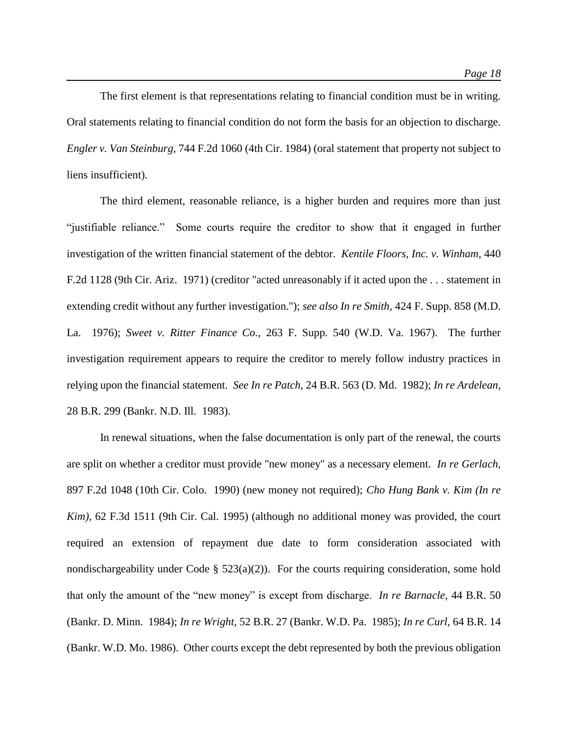The first element is that representations relating to financial condition must be in writing. Oral statements relating to financial condition do not form the basis for an objection to discharge. *Engler v. Van Steinburg,* 744 F.2d 1060 (4th Cir. 1984) (oral statement that property not subject to liens insufficient).

The third element, reasonable reliance, is a higher burden and requires more than just "justifiable reliance." Some courts require the creditor to show that it engaged in further investigation of the written financial statement of the debtor. *Kentile Floors, Inc. v. Winham,* 440 F.2d 1128 (9th Cir. Ariz. 1971) (creditor "acted unreasonably if it acted upon the . . . statement in extending credit without any further investigation."); *see also In re Smith,* 424 F. Supp. 858 (M.D. La. 1976); *Sweet v. Ritter Finance Co.,* 263 F. Supp. 540 (W.D. Va. 1967). The further investigation requirement appears to require the creditor to merely follow industry practices in relying upon the financial statement. *See In re Patch,* 24 B.R. 563 (D. Md. 1982); *In re Ardelean,*  28 B.R. 299 (Bankr. N.D. Ill. 1983).

In renewal situations, when the false documentation is only part of the renewal, the courts are split on whether a creditor must provide "new money" as a necessary element. *In re Gerlach,*  897 F.2d 1048 (10th Cir. Colo. 1990) (new money not required); *Cho Hung Bank v. Kim (In re Kim),* 62 F.3d 1511 (9th Cir. Cal. 1995) (although no additional money was provided, the court required an extension of repayment due date to form consideration associated with nondischargeability under Code §  $523(a)(2)$ ). For the courts requiring consideration, some hold that only the amount of the "new money" is except from discharge. *In re Barnacle,* 44 B.R. 50 (Bankr. D. Minn. 1984); *In re Wright,* 52 B.R. 27 (Bankr. W.D. Pa. 1985); *In re Curl,* 64 B.R. 14 (Bankr. W.D. Mo. 1986). Other courts except the debt represented by both the previous obligation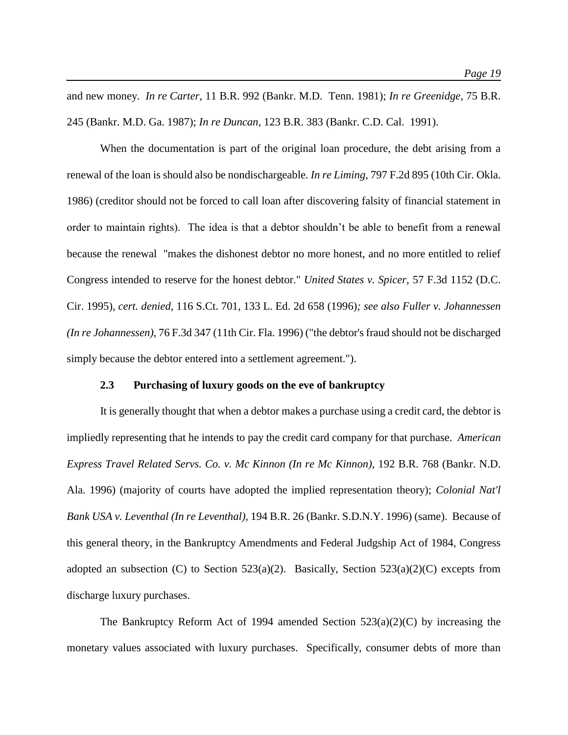and new money. *In re Carter,* 11 B.R. 992 (Bankr. M.D. Tenn. 1981); *In re Greenidge,* 75 B.R. 245 (Bankr. M.D. Ga. 1987); *In re Duncan,* 123 B.R. 383 (Bankr. C.D. Cal. 1991).

When the documentation is part of the original loan procedure, the debt arising from a renewal of the loan is should also be nondischargeable. *In re Liming,* 797 F.2d 895 (10th Cir. Okla. 1986) (creditor should not be forced to call loan after discovering falsity of financial statement in order to maintain rights). The idea is that a debtor shouldn't be able to benefit from a renewal because the renewal "makes the dishonest debtor no more honest, and no more entitled to relief Congress intended to reserve for the honest debtor." *United States v. Spicer,* 57 F.3d 1152 (D.C. Cir. 1995)*, cert. denied*, 116 S.Ct. 701, 133 L. Ed. 2d 658 (1996)*; see also Fuller v. Johannessen (In re Johannessen),* 76 F.3d 347 (11th Cir. Fla. 1996) ("the debtor's fraud should not be discharged simply because the debtor entered into a settlement agreement.").

#### **2.3 Purchasing of luxury goods on the eve of bankruptcy**

It is generally thought that when a debtor makes a purchase using a credit card, the debtor is impliedly representing that he intends to pay the credit card company for that purchase. *American Express Travel Related Servs. Co. v. Mc Kinnon (In re Mc Kinnon),* 192 B.R. 768 (Bankr. N.D. Ala. 1996) (majority of courts have adopted the implied representation theory); *Colonial Nat'l Bank USA v. Leventhal (In re Leventhal),* 194 B.R. 26 (Bankr. S.D.N.Y. 1996) (same). Because of this general theory, in the Bankruptcy Amendments and Federal Judgship Act of 1984, Congress adopted an subsection (C) to Section 523(a)(2). Basically, Section 523(a)(2)(C) excepts from discharge luxury purchases.

The Bankruptcy Reform Act of 1994 amended Section  $523(a)(2)(C)$  by increasing the monetary values associated with luxury purchases. Specifically, consumer debts of more than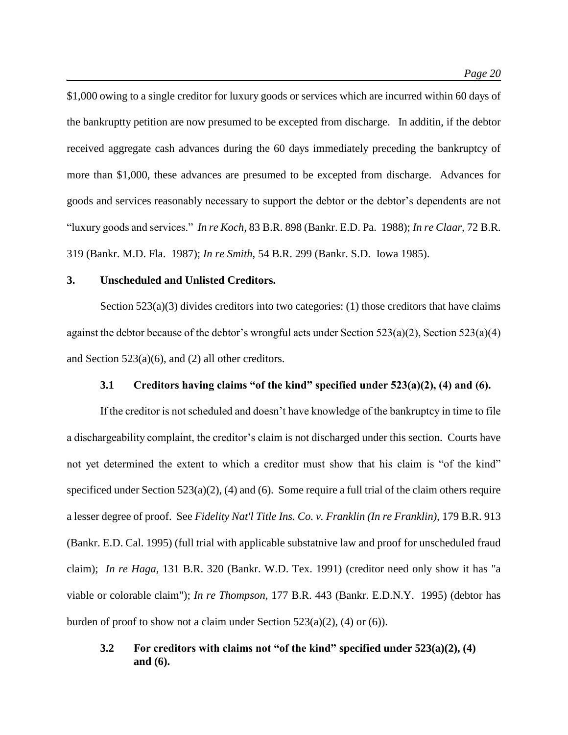\$1,000 owing to a single creditor for luxury goods or services which are incurred within 60 days of the bankruptty petition are now presumed to be excepted from discharge. In additin, if the debtor received aggregate cash advances during the 60 days immediately preceding the bankruptcy of more than \$1,000, these advances are presumed to be excepted from discharge. Advances for goods and services reasonably necessary to support the debtor or the debtor's dependents are not "luxury goods and services." *In re Koch,* 83 B.R. 898 (Bankr. E.D. Pa. 1988); *In re Claar,* 72 B.R. 319 (Bankr. M.D. Fla. 1987); *In re Smith,* 54 B.R. 299 (Bankr. S.D. Iowa 1985).

# **3. Unscheduled and Unlisted Creditors.**

Section  $523(a)(3)$  divides creditors into two categories: (1) those creditors that have claims against the debtor because of the debtor's wrongful acts under Section 523(a)(2), Section 523(a)(4) and Section 523(a)(6), and (2) all other creditors.

# **3.1 Creditors having claims "of the kind" specified under 523(a)(2), (4) and (6).**

If the creditor is not scheduled and doesn't have knowledge of the bankruptcy in time to file a dischargeability complaint, the creditor's claim is not discharged under this section. Courts have not yet determined the extent to which a creditor must show that his claim is "of the kind" specificed under Section  $523(a)(2)$ , (4) and (6). Some require a full trial of the claim others require a lesser degree of proof. See *Fidelity Nat'l Title Ins. Co. v. Franklin (In re Franklin),* 179 B.R. 913 (Bankr. E.D. Cal. 1995) (full trial with applicable substatnive law and proof for unscheduled fraud claim); *In re Haga,* 131 B.R. 320 (Bankr. W.D. Tex. 1991) (creditor need only show it has "a viable or colorable claim"); *In re Thompson,* 177 B.R. 443 (Bankr. E.D.N.Y. 1995) (debtor has burden of proof to show not a claim under Section  $523(a)(2)$ , (4) or (6)).

# **3.2 For creditors with claims not "of the kind" specified under 523(a)(2), (4) and (6).**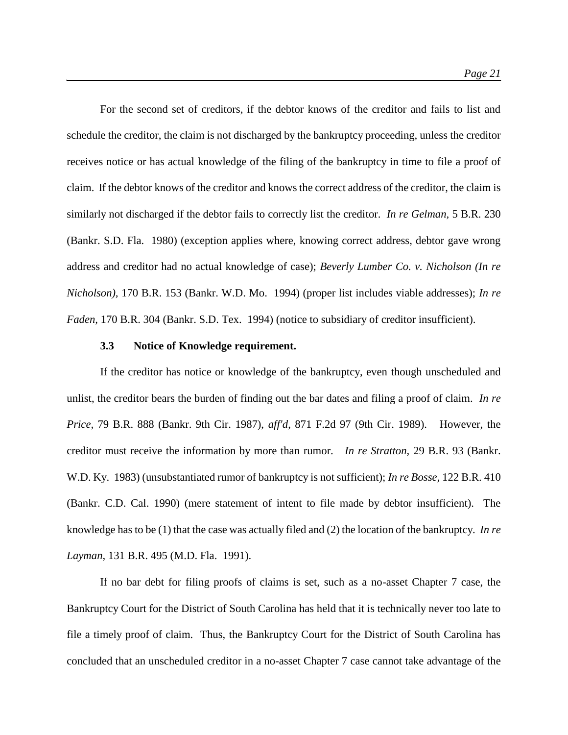For the second set of creditors, if the debtor knows of the creditor and fails to list and schedule the creditor, the claim is not discharged by the bankruptcy proceeding, unless the creditor receives notice or has actual knowledge of the filing of the bankruptcy in time to file a proof of claim. If the debtor knows of the creditor and knows the correct address of the creditor, the claim is similarly not discharged if the debtor fails to correctly list the creditor. *In re Gelman,* 5 B.R. 230 (Bankr. S.D. Fla. 1980) (exception applies where, knowing correct address, debtor gave wrong address and creditor had no actual knowledge of case); *Beverly Lumber Co. v. Nicholson (In re Nicholson),* 170 B.R. 153 (Bankr. W.D. Mo. 1994) (proper list includes viable addresses); *In re Faden,* 170 B.R. 304 (Bankr. S.D. Tex. 1994) (notice to subsidiary of creditor insufficient).

#### **3.3 Notice of Knowledge requirement.**

If the creditor has notice or knowledge of the bankruptcy, even though unscheduled and unlist, the creditor bears the burden of finding out the bar dates and filing a proof of claim. *In re Price,* 79 B.R. 888 (Bankr. 9th Cir. 1987), *aff'd*, 871 F.2d 97 (9th Cir. 1989). However, the creditor must receive the information by more than rumor. *In re Stratton,* 29 B.R. 93 (Bankr. W.D. Ky. 1983) (unsubstantiated rumor of bankruptcy is not sufficient); *In re Bosse,* 122 B.R. 410 (Bankr. C.D. Cal. 1990) (mere statement of intent to file made by debtor insufficient). The knowledge has to be (1) that the case was actually filed and (2) the location of the bankruptcy. *In re Layman,* 131 B.R. 495 (M.D. Fla. 1991).

If no bar debt for filing proofs of claims is set, such as a no-asset Chapter 7 case, the Bankruptcy Court for the District of South Carolina has held that it is technically never too late to file a timely proof of claim. Thus, the Bankruptcy Court for the District of South Carolina has concluded that an unscheduled creditor in a no-asset Chapter 7 case cannot take advantage of the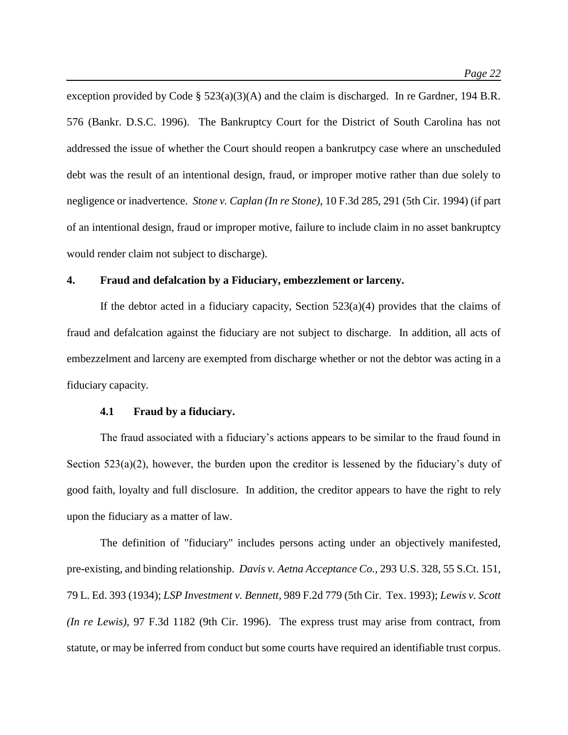exception provided by Code § 523(a)(3)(A) and the claim is discharged. In re Gardner, 194 B.R. 576 (Bankr. D.S.C. 1996). The Bankruptcy Court for the District of South Carolina has not addressed the issue of whether the Court should reopen a bankrutpcy case where an unscheduled debt was the result of an intentional design, fraud, or improper motive rather than due solely to negligence or inadvertence. *Stone v. Caplan (In re Stone),* 10 F.3d 285, 291 (5th Cir. 1994) (if part of an intentional design, fraud or improper motive, failure to include claim in no asset bankruptcy would render claim not subject to discharge).

# **4. Fraud and defalcation by a Fiduciary, embezzlement or larceny.**

If the debtor acted in a fiduciary capacity, Section  $523(a)(4)$  provides that the claims of fraud and defalcation against the fiduciary are not subject to discharge. In addition, all acts of embezzelment and larceny are exempted from discharge whether or not the debtor was acting in a fiduciary capacity.

#### **4.1 Fraud by a fiduciary.**

The fraud associated with a fiduciary's actions appears to be similar to the fraud found in Section 523(a)(2), however, the burden upon the creditor is lessened by the fiduciary's duty of good faith, loyalty and full disclosure. In addition, the creditor appears to have the right to rely upon the fiduciary as a matter of law.

The definition of "fiduciary" includes persons acting under an objectively manifested, pre-existing, and binding relationship. *Davis v. Aetna Acceptance Co.,* 293 U.S. 328, 55 S.Ct. 151, 79 L. Ed. 393 (1934); *LSP Investment v. Bennett,* 989 F.2d 779 (5th Cir. Tex. 1993); *Lewis v. Scott (In re Lewis),* 97 F.3d 1182 (9th Cir. 1996). The express trust may arise from contract, from statute, or may be inferred from conduct but some courts have required an identifiable trust corpus.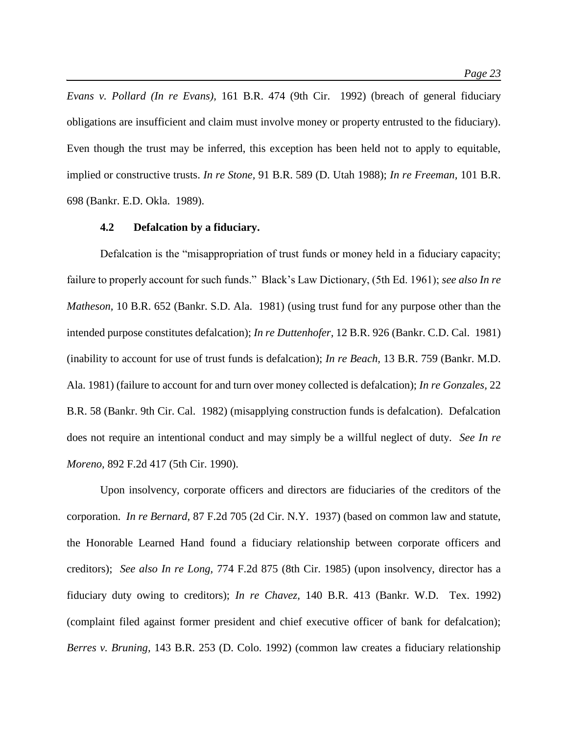*Evans v. Pollard (In re Evans),* 161 B.R. 474 (9th Cir. 1992) (breach of general fiduciary obligations are insufficient and claim must involve money or property entrusted to the fiduciary). Even though the trust may be inferred, this exception has been held not to apply to equitable, implied or constructive trusts. *In re Stone,* 91 B.R. 589 (D. Utah 1988); *In re Freeman,* 101 B.R. 698 (Bankr. E.D. Okla. 1989).

#### **4.2 Defalcation by a fiduciary.**

Defalcation is the "misappropriation of trust funds or money held in a fiduciary capacity; failure to properly account for such funds." Black's Law Dictionary, (5th Ed. 1961); *see also In re Matheson,* 10 B.R. 652 (Bankr. S.D. Ala. 1981) (using trust fund for any purpose other than the intended purpose constitutes defalcation); *In re Duttenhofer,* 12 B.R. 926 (Bankr. C.D. Cal. 1981) (inability to account for use of trust funds is defalcation); *In re Beach,* 13 B.R. 759 (Bankr. M.D. Ala. 1981) (failure to account for and turn over money collected is defalcation); *In re Gonzales,* 22 B.R. 58 (Bankr. 9th Cir. Cal. 1982) (misapplying construction funds is defalcation). Defalcation does not require an intentional conduct and may simply be a willful neglect of duty. *See In re Moreno,* 892 F.2d 417 (5th Cir. 1990).

Upon insolvency, corporate officers and directors are fiduciaries of the creditors of the corporation. *In re Bernard,* 87 F.2d 705 (2d Cir. N.Y. 1937) (based on common law and statute, the Honorable Learned Hand found a fiduciary relationship between corporate officers and creditors); *See also In re Long,* 774 F.2d 875 (8th Cir. 1985) (upon insolvency, director has a fiduciary duty owing to creditors); *In re Chavez,* 140 B.R. 413 (Bankr. W.D. Tex. 1992) (complaint filed against former president and chief executive officer of bank for defalcation); *Berres v. Bruning,* 143 B.R. 253 (D. Colo. 1992) (common law creates a fiduciary relationship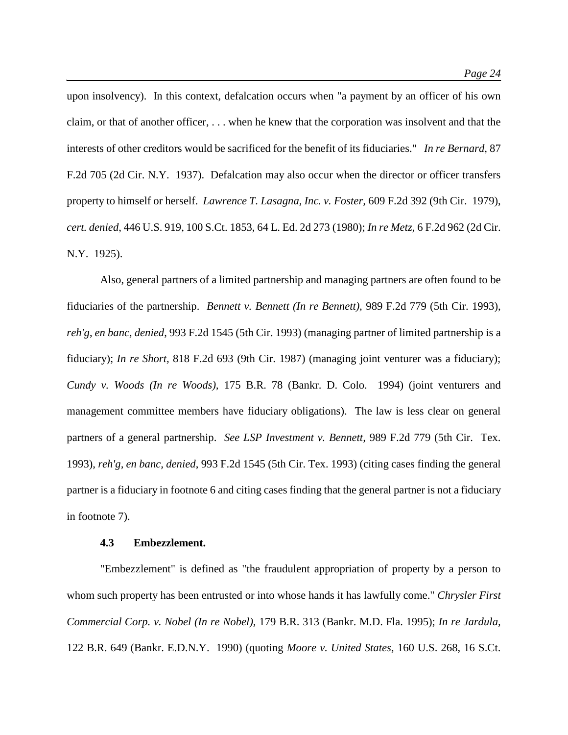upon insolvency). In this context, defalcation occurs when "a payment by an officer of his own claim, or that of another officer, . . . when he knew that the corporation was insolvent and that the interests of other creditors would be sacrificed for the benefit of its fiduciaries." *In re Bernard,* 87 F.2d 705 (2d Cir. N.Y. 1937). Defalcation may also occur when the director or officer transfers property to himself or herself. *Lawrence T. Lasagna, Inc. v. Foster,* 609 F.2d 392 (9th Cir. 1979), *cert. denied*, 446 U.S. 919, 100 S.Ct. 1853, 64 L. Ed. 2d 273 (1980); *In re Metz,* 6 F.2d 962 (2d Cir. N.Y. 1925).

Also, general partners of a limited partnership and managing partners are often found to be fiduciaries of the partnership. *Bennett v. Bennett (In re Bennett),* 989 F.2d 779 (5th Cir. 1993), *reh'g*, *en banc, denied*, 993 F.2d 1545 (5th Cir. 1993) (managing partner of limited partnership is a fiduciary); *In re Short,* 818 F.2d 693 (9th Cir. 1987) (managing joint venturer was a fiduciary); *Cundy v. Woods (In re Woods),* 175 B.R. 78 (Bankr. D. Colo. 1994) (joint venturers and management committee members have fiduciary obligations). The law is less clear on general partners of a general partnership. *See LSP Investment v. Bennett,* 989 F.2d 779 (5th Cir. Tex. 1993), *reh'g, en banc, denied*, 993 F.2d 1545 (5th Cir. Tex. 1993) (citing cases finding the general partner is a fiduciary in footnote 6 and citing cases finding that the general partner is not a fiduciary in footnote 7).

# **4.3 Embezzlement.**

"Embezzlement" is defined as "the fraudulent appropriation of property by a person to whom such property has been entrusted or into whose hands it has lawfully come." *Chrysler First Commercial Corp. v. Nobel (In re Nobel),* 179 B.R. 313 (Bankr. M.D. Fla. 1995); *In re Jardula,*  122 B.R. 649 (Bankr. E.D.N.Y. 1990) (quoting *Moore v. United States,* 160 U.S. 268, 16 S.Ct.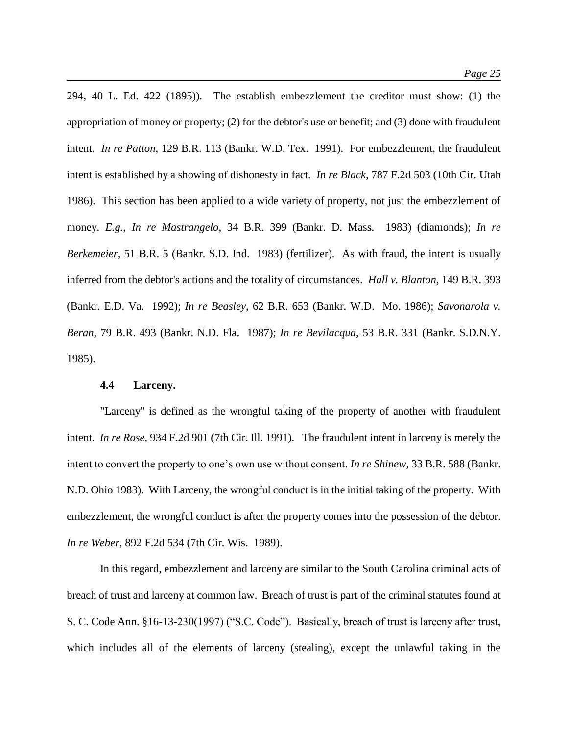294, 40 L. Ed. 422 (1895))*.* The establish embezzlement the creditor must show: (1) the appropriation of money or property; (2) for the debtor's use or benefit; and (3) done with fraudulent intent. *In re Patton,* 129 B.R. 113 (Bankr. W.D. Tex. 1991)*.* For embezzlement, the fraudulent intent is established by a showing of dishonesty in fact. *In re Black,* 787 F.2d 503 (10th Cir. Utah 1986). This section has been applied to a wide variety of property, not just the embezzlement of money. *E.g.*, *In re Mastrangelo,* 34 B.R. 399 (Bankr. D. Mass. 1983) (diamonds); *In re Berkemeier,* 51 B.R. 5 (Bankr. S.D. Ind. 1983) (fertilizer). As with fraud, the intent is usually inferred from the debtor's actions and the totality of circumstances. *Hall v. Blanton,* 149 B.R. 393 (Bankr. E.D. Va. 1992); *In re Beasley,* 62 B.R. 653 (Bankr. W.D. Mo. 1986); *Savonarola v. Beran,* 79 B.R. 493 (Bankr. N.D. Fla. 1987); *In re Bevilacqua,* 53 B.R. 331 (Bankr. S.D.N.Y. 1985).

#### **4.4 Larceny.**

"Larceny" is defined as the wrongful taking of the property of another with fraudulent intent. *In re Rose,* 934 F.2d 901 (7th Cir. Ill. 1991). The fraudulent intent in larceny is merely the intent to convert the property to one's own use without consent. *In re Shinew,* 33 B.R. 588 (Bankr. N.D. Ohio 1983). With Larceny, the wrongful conduct is in the initial taking of the property. With embezzlement, the wrongful conduct is after the property comes into the possession of the debtor. *In re Weber,* 892 F.2d 534 (7th Cir. Wis. 1989).

In this regard, embezzlement and larceny are similar to the South Carolina criminal acts of breach of trust and larceny at common law. Breach of trust is part of the criminal statutes found at S. C. Code Ann. §16-13-230(1997) ("S.C. Code"). Basically, breach of trust is larceny after trust, which includes all of the elements of larceny (stealing), except the unlawful taking in the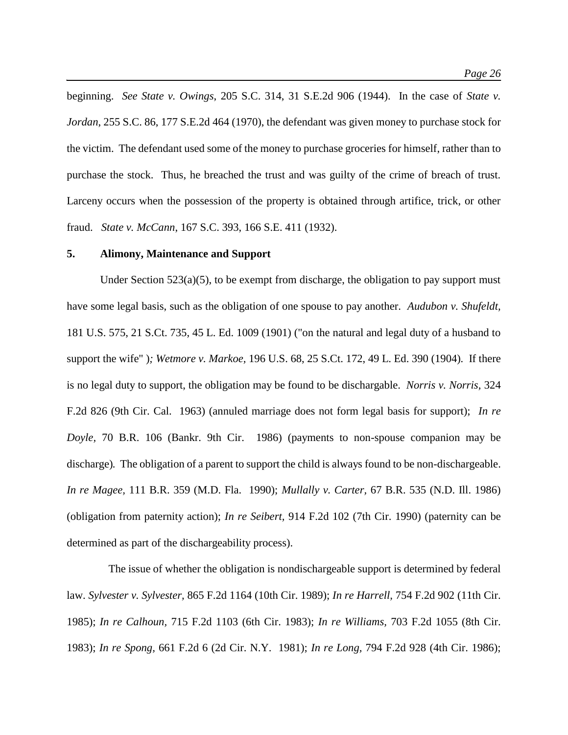beginning. *See State v. Owings*, 205 S.C. 314, 31 S.E.2d 906 (1944). In the case of *State v. Jordan*, 255 S.C. 86, 177 S.E.2d 464 (1970), the defendant was given money to purchase stock for the victim. The defendant used some of the money to purchase groceries for himself, rather than to purchase the stock. Thus, he breached the trust and was guilty of the crime of breach of trust. Larceny occurs when the possession of the property is obtained through artifice, trick, or other fraud. *State v. McCann*, 167 S.C. 393, 166 S.E. 411 (1932).

#### **5. Alimony, Maintenance and Support**

Under Section  $523(a)(5)$ , to be exempt from discharge, the obligation to pay support must have some legal basis, such as the obligation of one spouse to pay another. *Audubon v. Shufeldt,*  181 U.S. 575, 21 S.Ct. 735, 45 L. Ed. 1009 (1901) ("on the natural and legal duty of a husband to support the wife" )*; Wetmore v. Markoe,* 196 U.S. 68, 25 S.Ct. 172, 49 L. Ed. 390 (1904)*.* If there is no legal duty to support, the obligation may be found to be dischargable. *Norris v. Norris,* 324 F.2d 826 (9th Cir. Cal. 1963) (annuled marriage does not form legal basis for support); *In re Doyle,* 70 B.R. 106 (Bankr. 9th Cir. 1986) (payments to non-spouse companion may be discharge)*.* The obligation of a parent to support the child is always found to be non-dischargeable. *In re Magee,* 111 B.R. 359 (M.D. Fla. 1990); *Mullally v. Carter,* 67 B.R. 535 (N.D. Ill. 1986) (obligation from paternity action); *In re Seibert,* 914 F.2d 102 (7th Cir. 1990) (paternity can be determined as part of the dischargeability process).

 The issue of whether the obligation is nondischargeable support is determined by federal law. *Sylvester v. Sylvester,* 865 F.2d 1164 (10th Cir. 1989); *In re Harrell,* 754 F.2d 902 (11th Cir. 1985); *In re Calhoun,* 715 F.2d 1103 (6th Cir. 1983); *In re Williams,* 703 F.2d 1055 (8th Cir. 1983); *In re Spong,* 661 F.2d 6 (2d Cir. N.Y. 1981); *In re Long,* 794 F.2d 928 (4th Cir. 1986);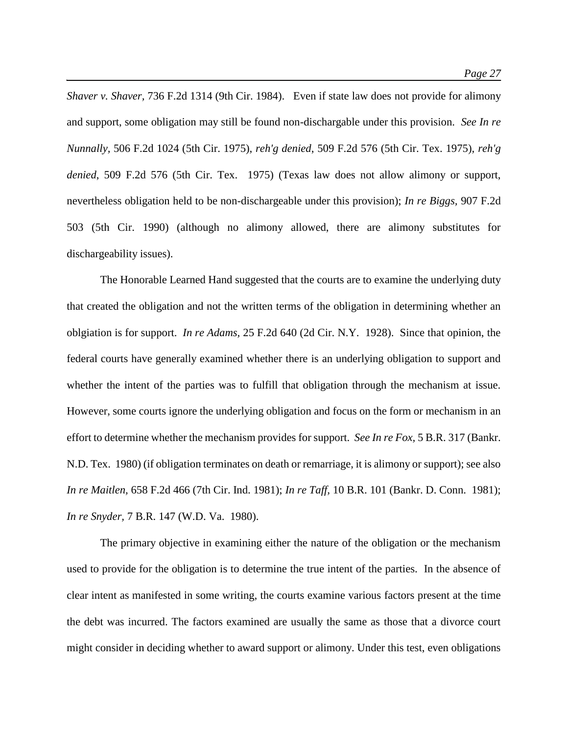*Shaver v. Shaver,* 736 F.2d 1314 (9th Cir. 1984). Even if state law does not provide for alimony and support, some obligation may still be found non-dischargable under this provision. *See In re Nunnally,* 506 F.2d 1024 (5th Cir. 1975), *reh'g denied*, 509 F.2d 576 (5th Cir. Tex. 1975), *reh'g denied*, 509 F.2d 576 (5th Cir. Tex. 1975) (Texas law does not allow alimony or support, nevertheless obligation held to be non-dischargeable under this provision); *In re Biggs,* 907 F.2d 503 (5th Cir. 1990) (although no alimony allowed, there are alimony substitutes for dischargeability issues).

The Honorable Learned Hand suggested that the courts are to examine the underlying duty that created the obligation and not the written terms of the obligation in determining whether an oblgiation is for support. *In re Adams,* 25 F.2d 640 (2d Cir. N.Y. 1928). Since that opinion, the federal courts have generally examined whether there is an underlying obligation to support and whether the intent of the parties was to fulfill that obligation through the mechanism at issue. However, some courts ignore the underlying obligation and focus on the form or mechanism in an effort to determine whether the mechanism provides for support. *See In re Fox,* 5 B.R. 317 (Bankr. N.D. Tex. 1980) (if obligation terminates on death or remarriage, it is alimony or support); see also *In re Maitlen,* 658 F.2d 466 (7th Cir. Ind. 1981); *In re Taff,* 10 B.R. 101 (Bankr. D. Conn. 1981); *In re Snyder,* 7 B.R. 147 (W.D. Va. 1980).

The primary objective in examining either the nature of the obligation or the mechanism used to provide for the obligation is to determine the true intent of the parties. In the absence of clear intent as manifested in some writing, the courts examine various factors present at the time the debt was incurred. The factors examined are usually the same as those that a divorce court might consider in deciding whether to award support or alimony. Under this test, even obligations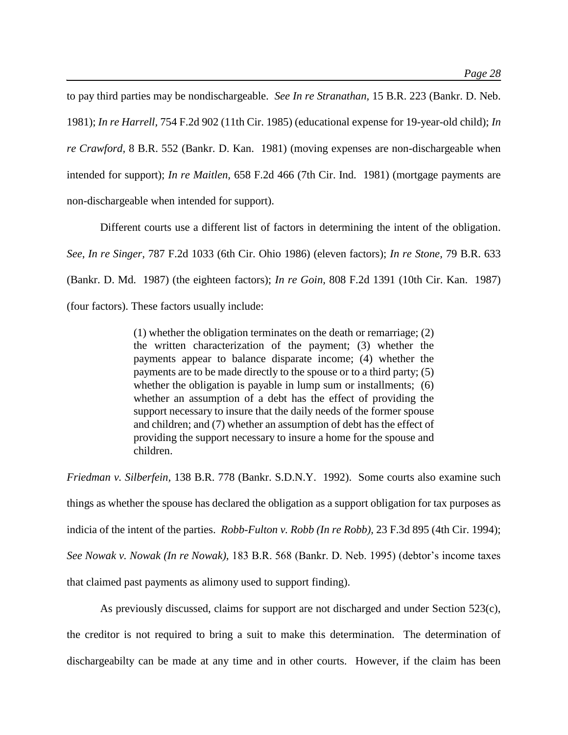to pay third parties may be nondischargeable. *See In re Stranathan,* 15 B.R. 223 (Bankr. D. Neb. 1981); *In re Harrell,* 754 F.2d 902 (11th Cir. 1985) (educational expense for 19-year-old child); *In re Crawford,* 8 B.R. 552 (Bankr. D. Kan. 1981) (moving expenses are non-dischargeable when intended for support); *In re Maitlen,* 658 F.2d 466 (7th Cir. Ind. 1981) (mortgage payments are non-dischargeable when intended for support).

Different courts use a different list of factors in determining the intent of the obligation. *See*, *In re Singer,* 787 F.2d 1033 (6th Cir. Ohio 1986) (eleven factors); *In re Stone,* 79 B.R. 633 (Bankr. D. Md. 1987) (the eighteen factors); *In re Goin,* 808 F.2d 1391 (10th Cir. Kan. 1987) (four factors). These factors usually include:

> (1) whether the obligation terminates on the death or remarriage; (2) the written characterization of the payment; (3) whether the payments appear to balance disparate income; (4) whether the payments are to be made directly to the spouse or to a third party; (5) whether the obligation is payable in lump sum or installments; (6) whether an assumption of a debt has the effect of providing the support necessary to insure that the daily needs of the former spouse and children; and (7) whether an assumption of debt has the effect of providing the support necessary to insure a home for the spouse and children.

*Friedman v. Silberfein,* 138 B.R. 778 (Bankr. S.D.N.Y. 1992). Some courts also examine such things as whether the spouse has declared the obligation as a support obligation for tax purposes as indicia of the intent of the parties. *Robb-Fulton v. Robb (In re Robb),* 23 F.3d 895 (4th Cir. 1994); *See Nowak v. Nowak (In re Nowak),* 183 B.R. 568 (Bankr. D. Neb. 1995) (debtor's income taxes that claimed past payments as alimony used to support finding).

As previously discussed, claims for support are not discharged and under Section 523(c), the creditor is not required to bring a suit to make this determination. The determination of dischargeabilty can be made at any time and in other courts. However, if the claim has been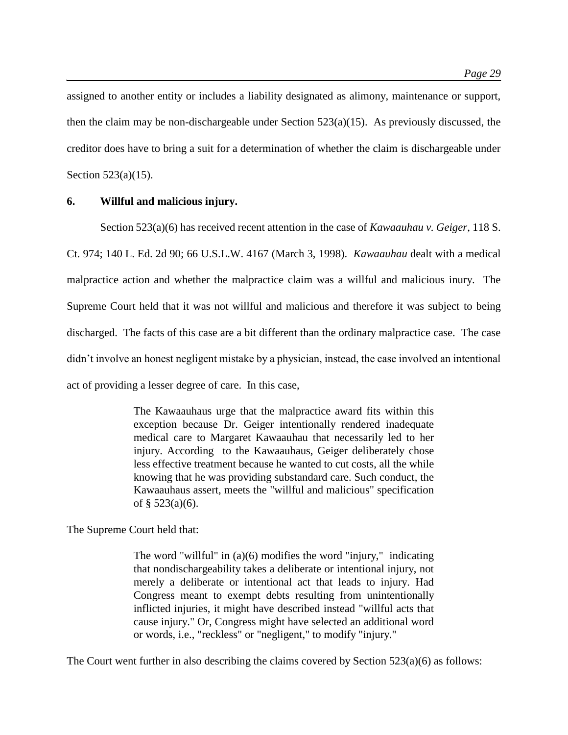assigned to another entity or includes a liability designated as alimony, maintenance or support, then the claim may be non-dischargeable under Section 523(a)(15). As previously discussed, the creditor does have to bring a suit for a determination of whether the claim is dischargeable under Section 523(a)(15).

# **6. Willful and malicious injury.**

Section 523(a)(6) has received recent attention in the case of *Kawaauhau v. Geiger*, 118 S. Ct. 974; 140 L. Ed. 2d 90; 66 U.S.L.W. 4167 (March 3, 1998). *Kawaauhau* dealt with a medical malpractice action and whether the malpractice claim was a willful and malicious inury. The Supreme Court held that it was not willful and malicious and therefore it was subject to being discharged. The facts of this case are a bit different than the ordinary malpractice case. The case didn't involve an honest negligent mistake by a physician, instead, the case involved an intentional act of providing a lesser degree of care. In this case,

> The Kawaauhaus urge that the malpractice award fits within this exception because Dr. Geiger intentionally rendered inadequate medical care to Margaret Kawaauhau that necessarily led to her injury. According to the Kawaauhaus, Geiger deliberately chose less effective treatment because he wanted to cut costs, all the while knowing that he was providing substandard care. Such conduct, the Kawaauhaus assert, meets the "willful and malicious" specification of  $§$  523(a)(6).

The Supreme Court held that:

The word "willful" in (a)(6) modifies the word "injury," indicating that nondischargeability takes a deliberate or intentional injury, not merely a deliberate or intentional act that leads to injury. Had Congress meant to exempt debts resulting from unintentionally inflicted injuries, it might have described instead "willful acts that cause injury." Or, Congress might have selected an additional word or words, i.e., "reckless" or "negligent," to modify "injury."

The Court went further in also describing the claims covered by Section  $523(a)(6)$  as follows: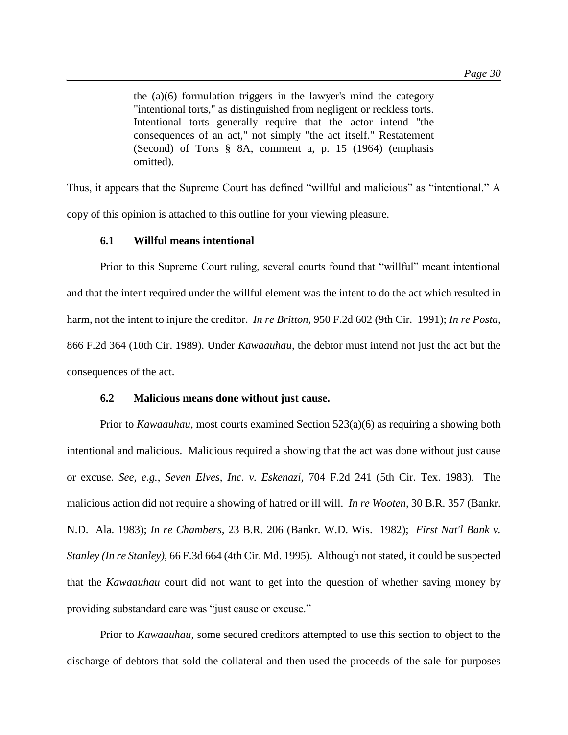the (a)(6) formulation triggers in the lawyer's mind the category "intentional torts," as distinguished from negligent or reckless torts. Intentional torts generally require that the actor intend "the consequences of an act," not simply "the act itself." Restatement (Second) of Torts § 8A, comment a, p. 15 (1964) (emphasis omitted).

Thus, it appears that the Supreme Court has defined "willful and malicious" as "intentional." A copy of this opinion is attached to this outline for your viewing pleasure.

# **6.1 Willful means intentional**

Prior to this Supreme Court ruling, several courts found that "willful" meant intentional and that the intent required under the willful element was the intent to do the act which resulted in harm, not the intent to injure the creditor. *In re Britton,* 950 F.2d 602 (9th Cir. 1991); *In re Posta,*  866 F.2d 364 (10th Cir. 1989). Under *Kawaauhau*, the debtor must intend not just the act but the consequences of the act.

# **6.2 Malicious means done without just cause.**

Prior to *Kawaauhau*, most courts examined Section 523(a)(6) as requiring a showing both intentional and malicious. Malicious required a showing that the act was done without just cause or excuse. *See, e.g.*, *Seven Elves, Inc. v. Eskenazi,* 704 F.2d 241 (5th Cir. Tex. 1983). The malicious action did not require a showing of hatred or ill will. *In re Wooten,* 30 B.R. 357 (Bankr. N.D. Ala. 1983); *In re Chambers,* 23 B.R. 206 (Bankr. W.D. Wis. 1982); *First Nat'l Bank v. Stanley (In re Stanley),* 66 F.3d 664 (4th Cir. Md. 1995). Although not stated, it could be suspected that the *Kawaauhau* court did not want to get into the question of whether saving money by providing substandard care was "just cause or excuse."

Prior to *Kawaauhau*, some secured creditors attempted to use this section to object to the discharge of debtors that sold the collateral and then used the proceeds of the sale for purposes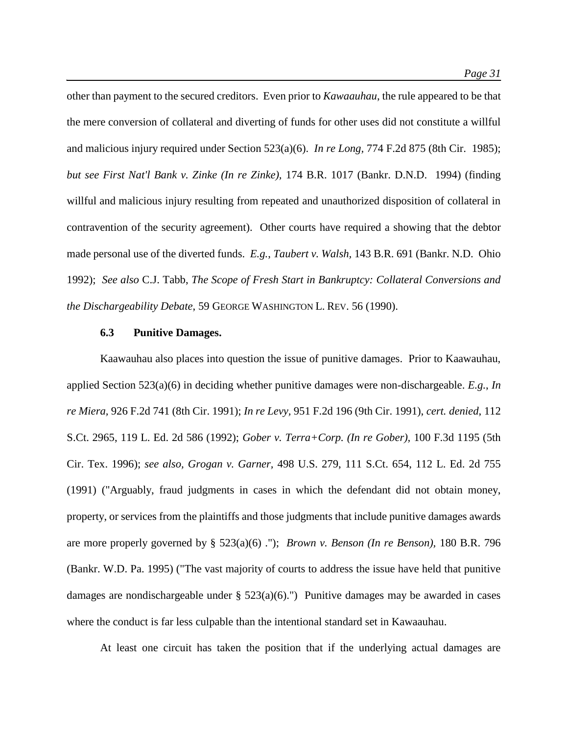other than payment to the secured creditors. Even prior to *Kawaauhau*, the rule appeared to be that the mere conversion of collateral and diverting of funds for other uses did not constitute a willful and malicious injury required under Section 523(a)(6). *In re Long,* 774 F.2d 875 (8th Cir. 1985); *but see First Nat'l Bank v. Zinke (In re Zinke),* 174 B.R. 1017 (Bankr. D.N.D. 1994) (finding willful and malicious injury resulting from repeated and unauthorized disposition of collateral in contravention of the security agreement). Other courts have required a showing that the debtor made personal use of the diverted funds. *E.g.*, *Taubert v. Walsh,* 143 B.R. 691 (Bankr. N.D. Ohio 1992); *See also* C.J. Tabb, *The Scope of Fresh Start in Bankruptcy: Collateral Conversions and the Dischargeability Debate*, 59 GEORGE WASHINGTON L. REV. 56 (1990).

# **6.3 Punitive Damages.**

Kaawauhau also places into question the issue of punitive damages. Prior to Kaawauhau, applied Section 523(a)(6) in deciding whether punitive damages were non-dischargeable. *E.g.*, *In re Miera,* 926 F.2d 741 (8th Cir. 1991); *In re Levy,* 951 F.2d 196 (9th Cir. 1991), *cert. denied*, 112 S.Ct. 2965, 119 L. Ed. 2d 586 (1992); *Gober v. Terra+Corp. (In re Gober),* 100 F.3d 1195 (5th Cir. Tex. 1996); *see also, Grogan v. Garner,* 498 U.S. 279, 111 S.Ct. 654, 112 L. Ed. 2d 755 (1991) ("Arguably, fraud judgments in cases in which the defendant did not obtain money, property, or services from the plaintiffs and those judgments that include punitive damages awards are more properly governed by § 523(a)(6) ."); *Brown v. Benson (In re Benson),* 180 B.R. 796 (Bankr. W.D. Pa. 1995) ("The vast majority of courts to address the issue have held that punitive damages are nondischargeable under  $\S$  523(a)(6).") Punitive damages may be awarded in cases where the conduct is far less culpable than the intentional standard set in Kawaauhau.

At least one circuit has taken the position that if the underlying actual damages are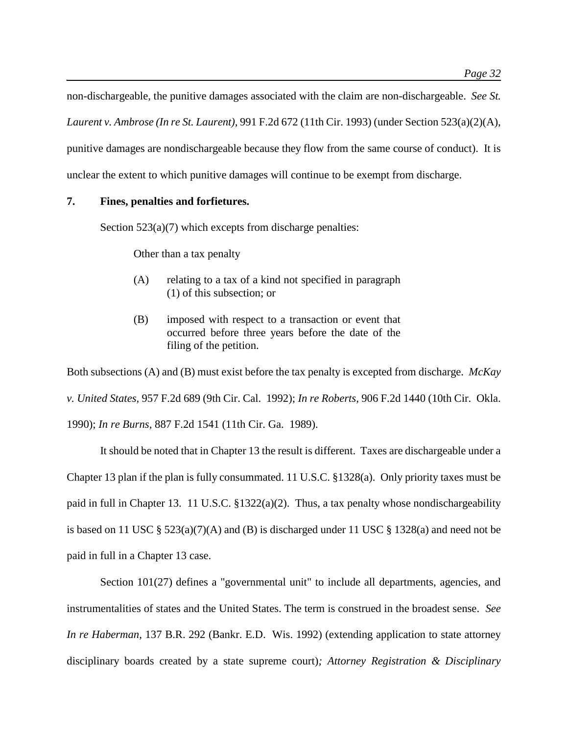non-dischargeable, the punitive damages associated with the claim are non-dischargeable. *See St. Laurent v. Ambrose (In re St. Laurent),* 991 F.2d 672 (11th Cir. 1993) (under Section 523(a)(2)(A), punitive damages are nondischargeable because they flow from the same course of conduct). It is unclear the extent to which punitive damages will continue to be exempt from discharge.

# **7. Fines, penalties and forfietures.**

Section  $523(a)(7)$  which excepts from discharge penalties:

Other than a tax penalty

- (A) relating to a tax of a kind not specified in paragraph (1) of this subsection; or
- (B) imposed with respect to a transaction or event that occurred before three years before the date of the filing of the petition.

Both subsections (A) and (B) must exist before the tax penalty is excepted from discharge. *McKay v. United States,* 957 F.2d 689 (9th Cir. Cal. 1992); *In re Roberts,* 906 F.2d 1440 (10th Cir. Okla. 1990); *In re Burns,* 887 F.2d 1541 (11th Cir. Ga. 1989).

It should be noted that in Chapter 13 the result is different. Taxes are dischargeable under a Chapter 13 plan if the plan is fully consummated. 11 U.S.C. §1328(a). Only priority taxes must be paid in full in Chapter 13. 11 U.S.C. §1322(a)(2). Thus, a tax penalty whose nondischargeability is based on 11 USC § 523(a)(7)(A) and (B) is discharged under 11 USC § 1328(a) and need not be paid in full in a Chapter 13 case.

Section 101(27) defines a "governmental unit" to include all departments, agencies, and instrumentalities of states and the United States. The term is construed in the broadest sense. *See In re Haberman,* 137 B.R. 292 (Bankr. E.D. Wis. 1992) (extending application to state attorney disciplinary boards created by a state supreme court)*; Attorney Registration & Disciplinary*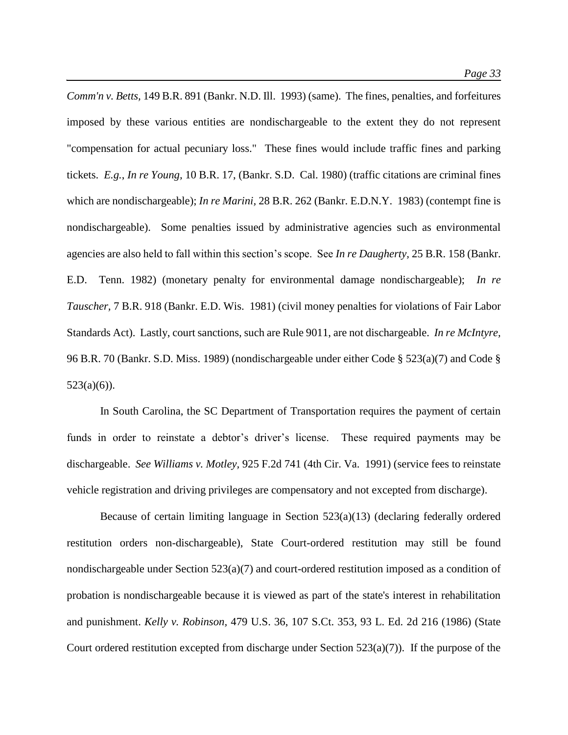*Comm'n v. Betts,* 149 B.R. 891 (Bankr. N.D. Ill. 1993) (same). The fines, penalties, and forfeitures imposed by these various entities are nondischargeable to the extent they do not represent "compensation for actual pecuniary loss." These fines would include traffic fines and parking tickets. *E.g.*, *In re Young,* 10 B.R. 17, (Bankr. S.D. Cal. 1980) (traffic citations are criminal fines which are nondischargeable); *In re Marini,* 28 B.R. 262 (Bankr. E.D.N.Y. 1983) (contempt fine is nondischargeable). Some penalties issued by administrative agencies such as environmental agencies are also held to fall within this section's scope. See *In re Daugherty,* 25 B.R. 158 (Bankr. E.D. Tenn. 1982) (monetary penalty for environmental damage nondischargeable); *In re Tauscher,* 7 B.R. 918 (Bankr. E.D. Wis. 1981) (civil money penalties for violations of Fair Labor Standards Act). Lastly, court sanctions, such are Rule 9011, are not dischargeable. *In re McIntyre,*  96 B.R. 70 (Bankr. S.D. Miss. 1989) (nondischargeable under either Code § 523(a)(7) and Code §  $523(a)(6)$ ).

In South Carolina, the SC Department of Transportation requires the payment of certain funds in order to reinstate a debtor's driver's license. These required payments may be dischargeable. *See Williams v. Motley,* 925 F.2d 741 (4th Cir. Va. 1991) (service fees to reinstate vehicle registration and driving privileges are compensatory and not excepted from discharge).

Because of certain limiting language in Section 523(a)(13) (declaring federally ordered restitution orders non-dischargeable), State Court-ordered restitution may still be found nondischargeable under Section 523(a)(7) and court-ordered restitution imposed as a condition of probation is nondischargeable because it is viewed as part of the state's interest in rehabilitation and punishment. *Kelly v. Robinson,* 479 U.S. 36, 107 S.Ct. 353, 93 L. Ed. 2d 216 (1986) (State Court ordered restitution excepted from discharge under Section  $523(a)(7)$ ). If the purpose of the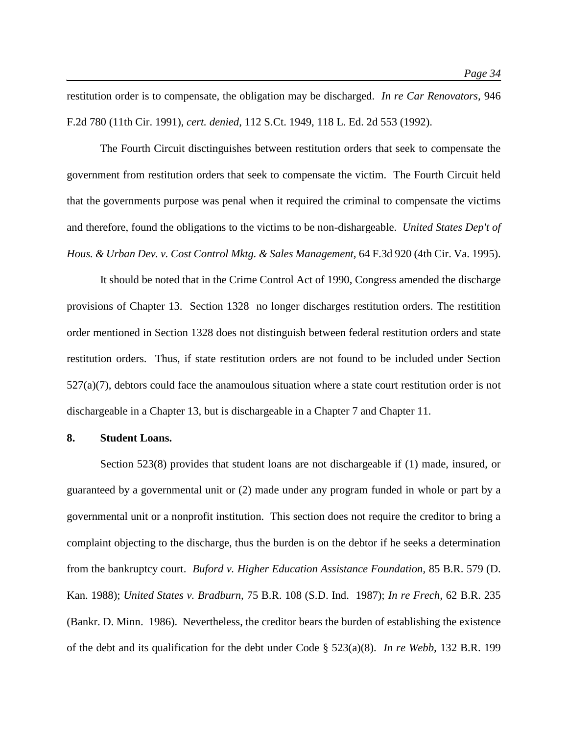restitution order is to compensate, the obligation may be discharged. *In re Car Renovators,* 946 F.2d 780 (11th Cir. 1991), *cert. denied*, 112 S.Ct. 1949, 118 L. Ed. 2d 553 (1992).

The Fourth Circuit disctinguishes between restitution orders that seek to compensate the government from restitution orders that seek to compensate the victim. The Fourth Circuit held that the governments purpose was penal when it required the criminal to compensate the victims and therefore, found the obligations to the victims to be non-dishargeable. *United States Dep't of Hous. & Urban Dev. v. Cost Control Mktg. & Sales Management,* 64 F.3d 920 (4th Cir. Va. 1995).

It should be noted that in the Crime Control Act of 1990, Congress amended the discharge provisions of Chapter 13. Section 1328 no longer discharges restitution orders. The restitition order mentioned in Section 1328 does not distinguish between federal restitution orders and state restitution orders. Thus, if state restitution orders are not found to be included under Section  $527(a)(7)$ , debtors could face the anamoulous situation where a state court restitution order is not dischargeable in a Chapter 13, but is dischargeable in a Chapter 7 and Chapter 11.

#### **8. Student Loans.**

Section 523(8) provides that student loans are not dischargeable if (1) made, insured, or guaranteed by a governmental unit or (2) made under any program funded in whole or part by a governmental unit or a nonprofit institution. This section does not require the creditor to bring a complaint objecting to the discharge, thus the burden is on the debtor if he seeks a determination from the bankruptcy court. *Buford v. Higher Education Assistance Foundation,* 85 B.R. 579 (D. Kan. 1988); *United States v. Bradburn,* 75 B.R. 108 (S.D. Ind. 1987); *In re Frech,* 62 B.R. 235 (Bankr. D. Minn. 1986). Nevertheless, the creditor bears the burden of establishing the existence of the debt and its qualification for the debt under Code § 523(a)(8). *In re Webb,* 132 B.R. 199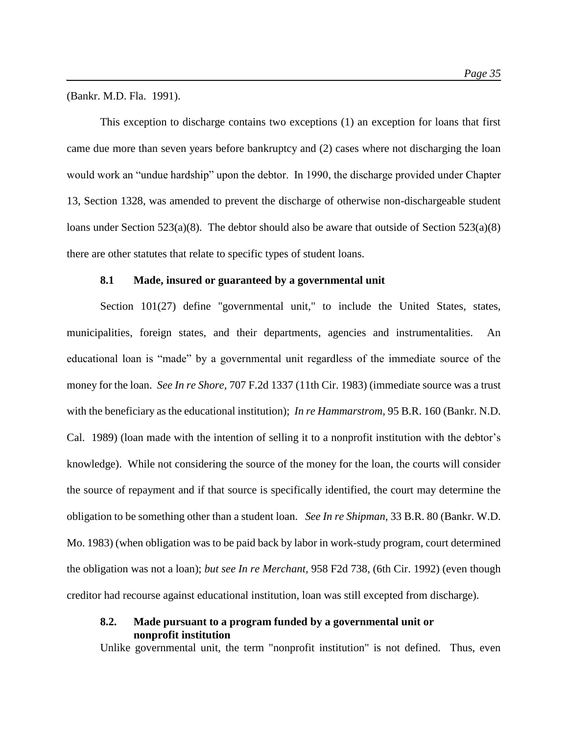(Bankr. M.D. Fla. 1991).

This exception to discharge contains two exceptions (1) an exception for loans that first came due more than seven years before bankruptcy and (2) cases where not discharging the loan would work an "undue hardship" upon the debtor. In 1990, the discharge provided under Chapter 13, Section 1328, was amended to prevent the discharge of otherwise non-dischargeable student loans under Section  $523(a)(8)$ . The debtor should also be aware that outside of Section  $523(a)(8)$ there are other statutes that relate to specific types of student loans.

#### **8.1 Made, insured or guaranteed by a governmental unit**

Section 101(27) define "governmental unit," to include the United States, states, municipalities, foreign states, and their departments, agencies and instrumentalities. An educational loan is "made" by a governmental unit regardless of the immediate source of the money for the loan. *See In re Shore,* 707 F.2d 1337 (11th Cir. 1983) (immediate source was a trust with the beneficiary as the educational institution); *In re Hammarstrom,* 95 B.R. 160 (Bankr. N.D. Cal. 1989) (loan made with the intention of selling it to a nonprofit institution with the debtor's knowledge). While not considering the source of the money for the loan, the courts will consider the source of repayment and if that source is specifically identified, the court may determine the obligation to be something other than a student loan. *See In re Shipman,* 33 B.R. 80 (Bankr. W.D. Mo. 1983) (when obligation was to be paid back by labor in work-study program, court determined the obligation was not a loan); *but see In re Merchant,* 958 F2d 738, (6th Cir. 1992) (even though creditor had recourse against educational institution, loan was still excepted from discharge).

# **8.2. Made pursuant to a program funded by a governmental unit or nonprofit institution**

Unlike governmental unit, the term "nonprofit institution" is not defined. Thus, even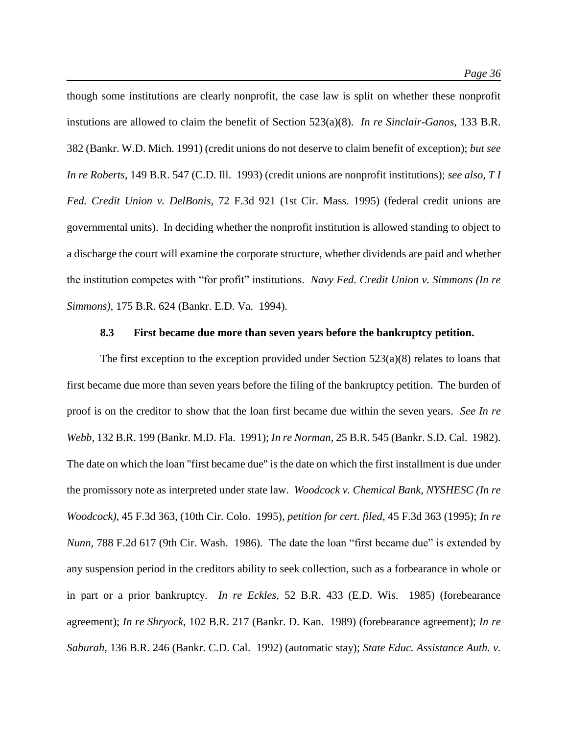though some institutions are clearly nonprofit, the case law is split on whether these nonprofit instutions are allowed to claim the benefit of Section 523(a)(8). *In re Sinclair-Ganos,* 133 B.R. 382 (Bankr. W.D. Mich. 1991) (credit unions do not deserve to claim benefit of exception); *but see In re Roberts,* 149 B.R. 547 (C.D. Ill. 1993) (credit unions are nonprofit institutions); *see also, T I Fed. Credit Union v. DelBonis,* 72 F.3d 921 (1st Cir. Mass. 1995) (federal credit unions are governmental units). In deciding whether the nonprofit institution is allowed standing to object to a discharge the court will examine the corporate structure, whether dividends are paid and whether the institution competes with "for profit" institutions. *Navy Fed. Credit Union v. Simmons (In re Simmons),* 175 B.R. 624 (Bankr. E.D. Va. 1994).

# **8.3 First became due more than seven years before the bankruptcy petition.**

The first exception to the exception provided under Section  $523(a)(8)$  relates to loans that first became due more than seven years before the filing of the bankruptcy petition. The burden of proof is on the creditor to show that the loan first became due within the seven years. *See In re Webb,* 132 B.R. 199 (Bankr. M.D. Fla. 1991); *In re Norman,* 25 B.R. 545 (Bankr. S.D. Cal. 1982). The date on which the loan "first became due" is the date on which the first installment is due under the promissory note as interpreted under state law. *Woodcock v. Chemical Bank, NYSHESC (In re Woodcock),* 45 F.3d 363, (10th Cir. Colo. 1995)*, petition for cert. filed*, 45 F.3d 363 (1995); *In re Nunn,* 788 F.2d 617 (9th Cir. Wash. 1986)*.* The date the loan "first became due" is extended by any suspension period in the creditors ability to seek collection, such as a forbearance in whole or in part or a prior bankruptcy. *In re Eckles,* 52 B.R. 433 (E.D. Wis. 1985) (forebearance agreement); *In re Shryock,* 102 B.R. 217 (Bankr. D. Kan. 1989) (forebearance agreement); *In re Saburah,* 136 B.R. 246 (Bankr. C.D. Cal. 1992) (automatic stay); *State Educ. Assistance Auth. v.*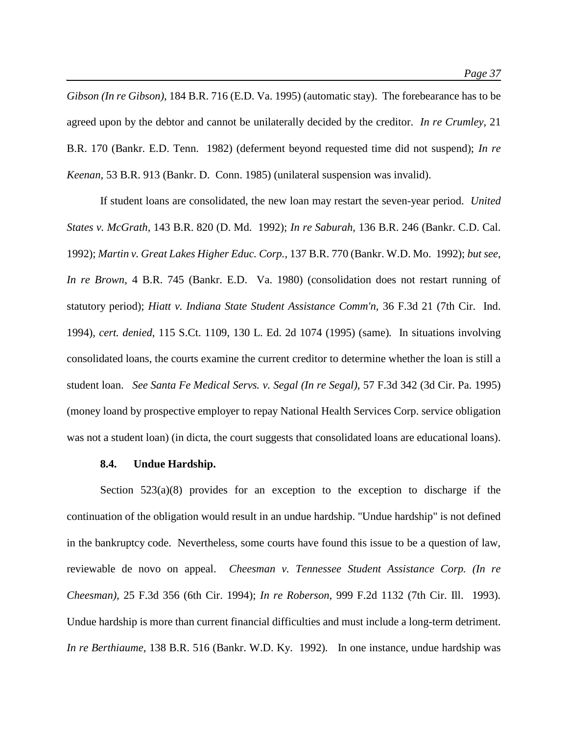*Gibson (In re Gibson),* 184 B.R. 716 (E.D. Va. 1995) (automatic stay).The forebearance has to be agreed upon by the debtor and cannot be unilaterally decided by the creditor. *In re Crumley,* 21 B.R. 170 (Bankr. E.D. Tenn. 1982) (deferment beyond requested time did not suspend); *In re Keenan,* 53 B.R. 913 (Bankr. D. Conn. 1985) (unilateral suspension was invalid).

If student loans are consolidated, the new loan may restart the seven-year period. *United States v. McGrath,* 143 B.R. 820 (D. Md. 1992); *In re Saburah,* 136 B.R. 246 (Bankr. C.D. Cal. 1992); *Martin v. Great Lakes Higher Educ. Corp.,* 137 B.R. 770 (Bankr. W.D. Mo. 1992); *but see*, *In re Brown,* 4 B.R. 745 (Bankr. E.D. Va. 1980) (consolidation does not restart running of statutory period); *Hiatt v. Indiana State Student Assistance Comm'n,* 36 F.3d 21 (7th Cir. Ind. 1994), *cert. denied*, 115 S.Ct. 1109, 130 L. Ed. 2d 1074 (1995) (same)*.* In situations involving consolidated loans, the courts examine the current creditor to determine whether the loan is still a student loan. *See Santa Fe Medical Servs. v. Segal (In re Segal),* 57 F.3d 342 (3d Cir. Pa. 1995) (money loand by prospective employer to repay National Health Services Corp. service obligation was not a student loan) (in dicta, the court suggests that consolidated loans are educational loans).

#### **8.4. Undue Hardship.**

Section  $523(a)(8)$  provides for an exception to the exception to discharge if the continuation of the obligation would result in an undue hardship. "Undue hardship" is not defined in the bankruptcy code. Nevertheless, some courts have found this issue to be a question of law, reviewable de novo on appeal. *Cheesman v. Tennessee Student Assistance Corp. (In re Cheesman),* 25 F.3d 356 (6th Cir. 1994); *In re Roberson,* 999 F.2d 1132 (7th Cir. Ill. 1993)*.* Undue hardship is more than current financial difficulties and must include a long-term detriment. *In re Berthiaume,* 138 B.R. 516 (Bankr. W.D. Ky. 1992)*.* In one instance, undue hardship was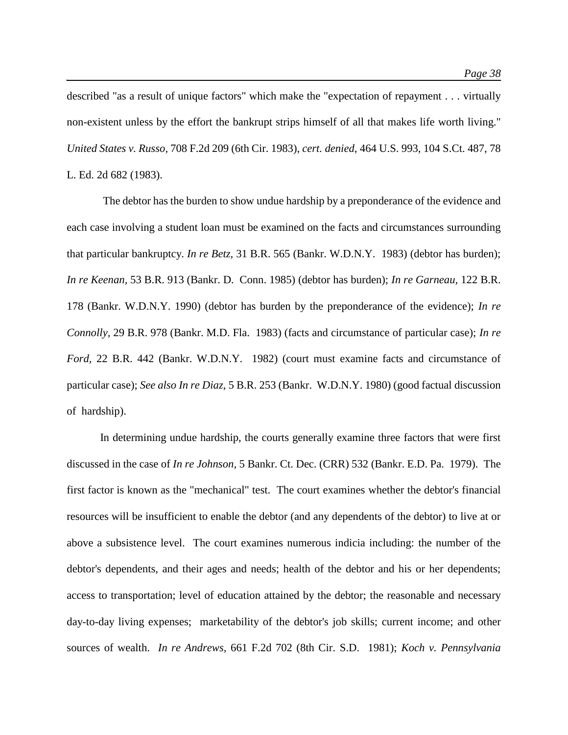described "as a result of unique factors" which make the "expectation of repayment . . . virtually non-existent unless by the effort the bankrupt strips himself of all that makes life worth living." *United States v. Russo,* 708 F.2d 209 (6th Cir. 1983), *cert. denied*, 464 U.S. 993, 104 S.Ct. 487, 78 L. Ed. 2d 682 (1983).

The debtor has the burden to show undue hardship by a preponderance of the evidence and each case involving a student loan must be examined on the facts and circumstances surrounding that particular bankruptcy. *In re Betz,* 31 B.R. 565 (Bankr. W.D.N.Y. 1983) (debtor has burden); *In re Keenan,* 53 B.R. 913 (Bankr. D. Conn. 1985) (debtor has burden); *In re Garneau,* 122 B.R. 178 (Bankr. W.D.N.Y. 1990) (debtor has burden by the preponderance of the evidence); *In re Connolly,* 29 B.R. 978 (Bankr. M.D. Fla. 1983) (facts and circumstance of particular case); *In re Ford,* 22 B.R. 442 (Bankr. W.D.N.Y. 1982) (court must examine facts and circumstance of particular case); *See also In re Diaz,* 5 B.R. 253 (Bankr. W.D.N.Y. 1980) (good factual discussion of hardship).

In determining undue hardship, the courts generally examine three factors that were first discussed in the case of *In re Johnson,* 5 Bankr. Ct. Dec. (CRR) 532 (Bankr. E.D. Pa. 1979).The first factor is known as the "mechanical" test. The court examines whether the debtor's financial resources will be insufficient to enable the debtor (and any dependents of the debtor) to live at or above a subsistence level. The court examines numerous indicia including: the number of the debtor's dependents, and their ages and needs; health of the debtor and his or her dependents; access to transportation; level of education attained by the debtor; the reasonable and necessary day-to-day living expenses; marketability of the debtor's job skills; current income; and other sources of wealth. *In re Andrews,* 661 F.2d 702 (8th Cir. S.D. 1981); *Koch v. Pennsylvania*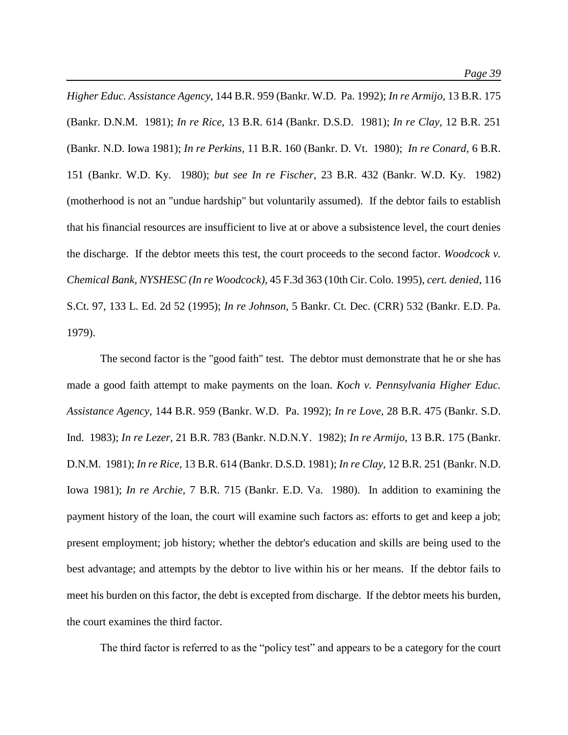*Higher Educ. Assistance Agency,* 144 B.R. 959 (Bankr. W.D. Pa. 1992); *In re Armijo,* 13 B.R. 175 (Bankr. D.N.M. 1981); *In re Rice,* 13 B.R. 614 (Bankr. D.S.D. 1981); *In re Clay,* 12 B.R. 251 (Bankr. N.D. Iowa 1981); *In re Perkins,* 11 B.R. 160 (Bankr. D. Vt. 1980); *In re Conard,* 6 B.R. 151 (Bankr. W.D. Ky. 1980); *but see In re Fischer,* 23 B.R. 432 (Bankr. W.D. Ky. 1982) (motherhood is not an "undue hardship" but voluntarily assumed). If the debtor fails to establish that his financial resources are insufficient to live at or above a subsistence level, the court denies the discharge. If the debtor meets this test, the court proceeds to the second factor. *Woodcock v. Chemical Bank, NYSHESC (In re Woodcock),* 45 F.3d 363 (10th Cir. Colo. 1995), *cert. denied*, 116 S.Ct. 97, 133 L. Ed. 2d 52 (1995); *In re Johnson,* 5 Bankr. Ct. Dec. (CRR) 532 (Bankr. E.D. Pa. 1979).

The second factor is the "good faith" test. The debtor must demonstrate that he or she has made a good faith attempt to make payments on the loan. *Koch v. Pennsylvania Higher Educ. Assistance Agency,* 144 B.R. 959 (Bankr. W.D. Pa. 1992); *In re Love,* 28 B.R. 475 (Bankr. S.D. Ind. 1983); *In re Lezer,* 21 B.R. 783 (Bankr. N.D.N.Y. 1982); *In re Armijo,* 13 B.R. 175 (Bankr. D.N.M. 1981); *In re Rice,* 13 B.R. 614 (Bankr. D.S.D. 1981); *In re Clay,* 12 B.R. 251 (Bankr. N.D. Iowa 1981); *In re Archie,* 7 B.R. 715 (Bankr. E.D. Va. 1980). In addition to examining the payment history of the loan, the court will examine such factors as: efforts to get and keep a job; present employment; job history; whether the debtor's education and skills are being used to the best advantage; and attempts by the debtor to live within his or her means. If the debtor fails to meet his burden on this factor, the debt is excepted from discharge. If the debtor meets his burden, the court examines the third factor.

The third factor is referred to as the "policy test" and appears to be a category for the court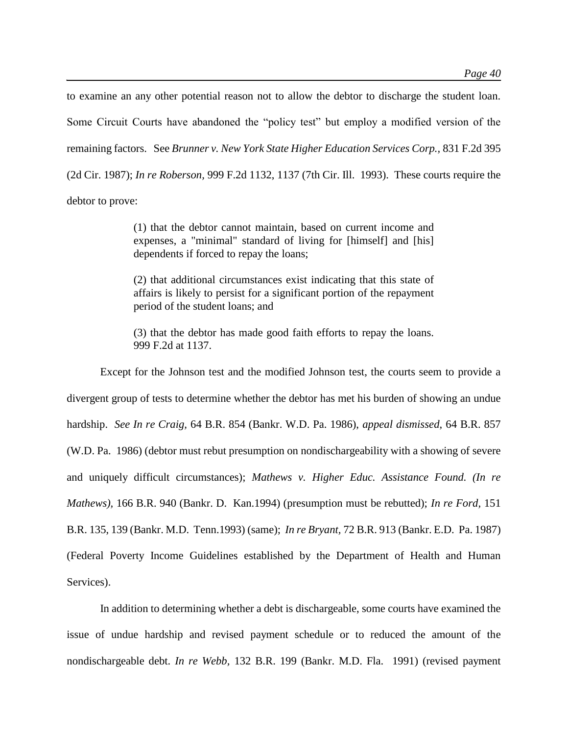to examine an any other potential reason not to allow the debtor to discharge the student loan. Some Circuit Courts have abandoned the "policy test" but employ a modified version of the remaining factors. See *Brunner v. New York State Higher Education Services Corp.,* 831 F.2d 395 (2d Cir. 1987); *In re Roberson,* 999 F.2d 1132, 1137 (7th Cir. Ill. 1993). These courts require the debtor to prove:

> (1) that the debtor cannot maintain, based on current income and expenses, a "minimal" standard of living for [himself] and [his] dependents if forced to repay the loans;

> (2) that additional circumstances exist indicating that this state of affairs is likely to persist for a significant portion of the repayment period of the student loans; and

> (3) that the debtor has made good faith efforts to repay the loans. 999 F.2d at 1137.

Except for the Johnson test and the modified Johnson test, the courts seem to provide a divergent group of tests to determine whether the debtor has met his burden of showing an undue hardship. *See In re Craig,* 64 B.R. 854 (Bankr. W.D. Pa. 1986), *appeal dismissed*, 64 B.R. 857 (W.D. Pa. 1986) (debtor must rebut presumption on nondischargeability with a showing of severe and uniquely difficult circumstances); *Mathews v. Higher Educ. Assistance Found. (In re Mathews),* 166 B.R. 940 (Bankr. D. Kan.1994) (presumption must be rebutted); *In re Ford,* 151 B.R. 135, 139 (Bankr. M.D. Tenn.1993) (same); *In re Bryant,* 72 B.R. 913 (Bankr. E.D. Pa. 1987) (Federal Poverty Income Guidelines established by the Department of Health and Human Services).

In addition to determining whether a debt is dischargeable, some courts have examined the issue of undue hardship and revised payment schedule or to reduced the amount of the nondischargeable debt. *In re Webb,* 132 B.R. 199 (Bankr. M.D. Fla. 1991) (revised payment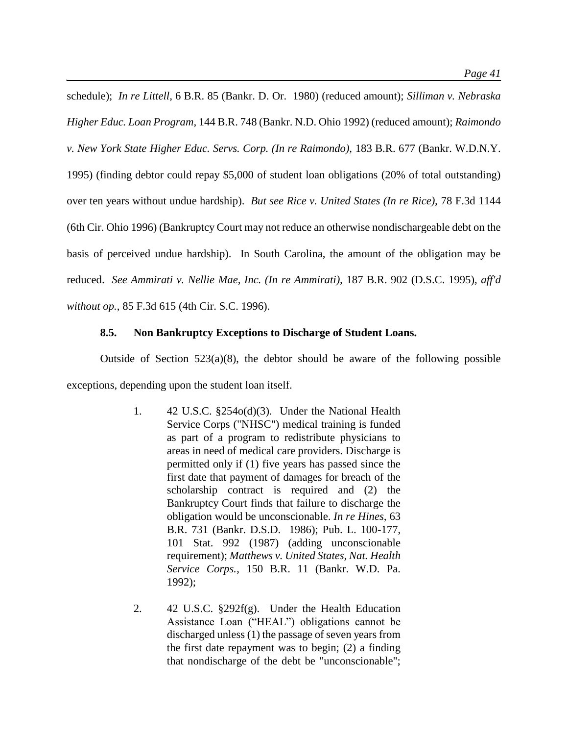schedule); *In re Littell,* 6 B.R. 85 (Bankr. D. Or. 1980) (reduced amount); *Silliman v. Nebraska Higher Educ. Loan Program,* 144 B.R. 748 (Bankr. N.D. Ohio 1992) (reduced amount); *Raimondo v. New York State Higher Educ. Servs. Corp. (In re Raimondo),* 183 B.R. 677 (Bankr. W.D.N.Y. 1995) (finding debtor could repay \$5,000 of student loan obligations (20% of total outstanding) over ten years without undue hardship). *But see Rice v. United States (In re Rice),* 78 F.3d 1144 (6th Cir. Ohio 1996) (Bankruptcy Court may not reduce an otherwise nondischargeable debt on the basis of perceived undue hardship). In South Carolina, the amount of the obligation may be reduced. *See Ammirati v. Nellie Mae, Inc. (In re Ammirati),* 187 B.R. 902 (D.S.C. 1995), *aff'd without op.*, 85 F.3d 615 (4th Cir. S.C. 1996).

# **8.5. Non Bankruptcy Exceptions to Discharge of Student Loans.**

Outside of Section  $523(a)(8)$ , the debtor should be aware of the following possible exceptions, depending upon the student loan itself.

- 1. 42 U.S.C. §254o(d)(3). Under the National Health Service Corps ("NHSC") medical training is funded as part of a program to redistribute physicians to areas in need of medical care providers. Discharge is permitted only if (1) five years has passed since the first date that payment of damages for breach of the scholarship contract is required and (2) the Bankruptcy Court finds that failure to discharge the obligation would be unconscionable. *In re Hines,* 63 B.R. 731 (Bankr. D.S.D. 1986); Pub. L. 100-177, 101 Stat. 992 (1987) (adding unconscionable requirement); *Matthews v. United States, Nat. Health Service Corps.*, 150 B.R. 11 (Bankr. W.D. Pa. 1992);
- 2. 42 U.S.C. §292f(g). Under the Health Education Assistance Loan ("HEAL") obligations cannot be discharged unless (1) the passage of seven years from the first date repayment was to begin; (2) a finding that nondischarge of the debt be "unconscionable";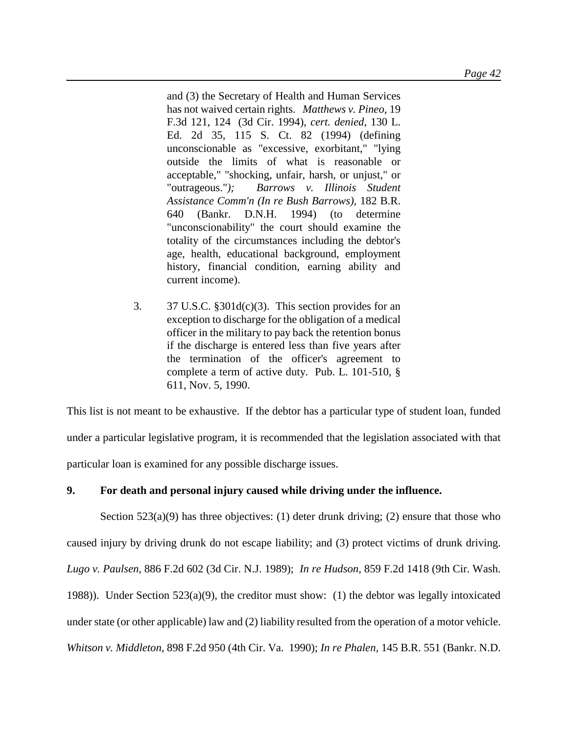and (3) the Secretary of Health and Human Services has not waived certain rights. *Matthews v. Pineo,* 19 F.3d 121, 124 (3d Cir. 1994), *cert. denied*, 130 L. Ed. 2d 35, 115 S. Ct. 82 (1994) (defining unconscionable as "excessive, exorbitant," "lying outside the limits of what is reasonable or acceptable," "shocking, unfair, harsh, or unjust," or "outrageous."*); Barrows v. Illinois Student Assistance Comm'n (In re Bush Barrows),* 182 B.R. 640 (Bankr. D.N.H. 1994) (to determine "unconscionability" the court should examine the totality of the circumstances including the debtor's age, health, educational background, employment history, financial condition, earning ability and current income).

3.  $37 \text{ U.S.C. } $301d(c)(3)$ . This section provides for an exception to discharge for the obligation of a medical officer in the military to pay back the retention bonus if the discharge is entered less than five years after the termination of the officer's agreement to complete a term of active duty. Pub. L. 101-510, § 611, Nov. 5, 1990.

This list is not meant to be exhaustive. If the debtor has a particular type of student loan, funded under a particular legislative program, it is recommended that the legislation associated with that particular loan is examined for any possible discharge issues.

# **9. For death and personal injury caused while driving under the influence.**

Section  $523(a)(9)$  has three objectives: (1) deter drunk driving; (2) ensure that those who caused injury by driving drunk do not escape liability; and (3) protect victims of drunk driving. *Lugo v. Paulsen,* 886 F.2d 602 (3d Cir. N.J. 1989); *In re Hudson,* 859 F.2d 1418 (9th Cir. Wash. 1988)). Under Section 523(a)(9), the creditor must show: (1) the debtor was legally intoxicated under state (or other applicable) law and (2) liability resulted from the operation of a motor vehicle. *Whitson v. Middleton,* 898 F.2d 950 (4th Cir. Va. 1990); *In re Phalen,* 145 B.R. 551 (Bankr. N.D.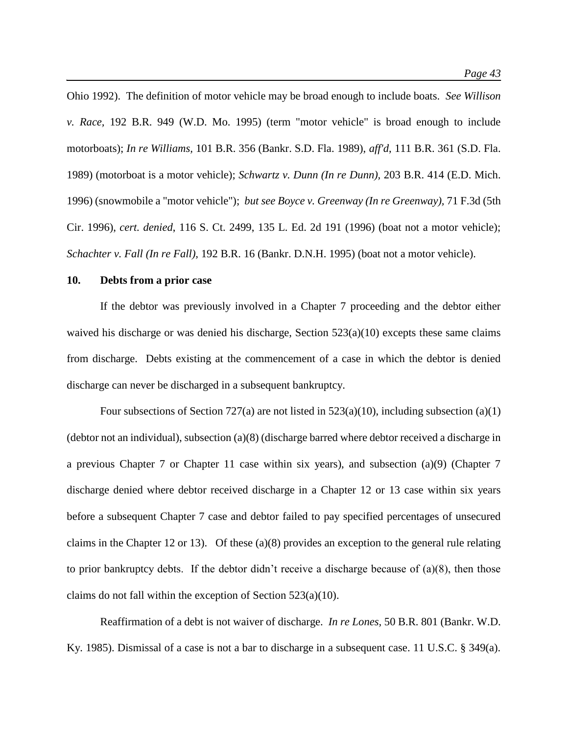Ohio 1992). The definition of motor vehicle may be broad enough to include boats. *See Willison v. Race,* 192 B.R. 949 (W.D. Mo. 1995) (term "motor vehicle" is broad enough to include motorboats); *In re Williams,* 101 B.R. 356 (Bankr. S.D. Fla. 1989), *aff'd*, 111 B.R. 361 (S.D. Fla. 1989) (motorboat is a motor vehicle); *Schwartz v. Dunn (In re Dunn),* 203 B.R. 414 (E.D. Mich. 1996) (snowmobile a "motor vehicle"); *but see Boyce v. Greenway (In re Greenway),* 71 F.3d (5th Cir. 1996), *cert. denied*, 116 S. Ct. 2499, 135 L. Ed. 2d 191 (1996) (boat not a motor vehicle); *Schachter v. Fall (In re Fall),* 192 B.R. 16 (Bankr. D.N.H. 1995) (boat not a motor vehicle).

# **10. Debts from a prior case**

If the debtor was previously involved in a Chapter 7 proceeding and the debtor either waived his discharge or was denied his discharge, Section  $523(a)(10)$  excepts these same claims from discharge. Debts existing at the commencement of a case in which the debtor is denied discharge can never be discharged in a subsequent bankruptcy.

Four subsections of Section 727(a) are not listed in  $523(a)(10)$ , including subsection (a)(1) (debtor not an individual), subsection (a)(8) (discharge barred where debtor received a discharge in a previous Chapter 7 or Chapter 11 case within six years), and subsection (a)(9) (Chapter 7 discharge denied where debtor received discharge in a Chapter 12 or 13 case within six years before a subsequent Chapter 7 case and debtor failed to pay specified percentages of unsecured claims in the Chapter 12 or 13). Of these (a)(8) provides an exception to the general rule relating to prior bankruptcy debts. If the debtor didn't receive a discharge because of (a)(8), then those claims do not fall within the exception of Section 523(a)(10).

Reaffirmation of a debt is not waiver of discharge. *In re Lones,* 50 B.R. 801 (Bankr. W.D. Ky. 1985). Dismissal of a case is not a bar to discharge in a subsequent case. 11 U.S.C. § 349(a).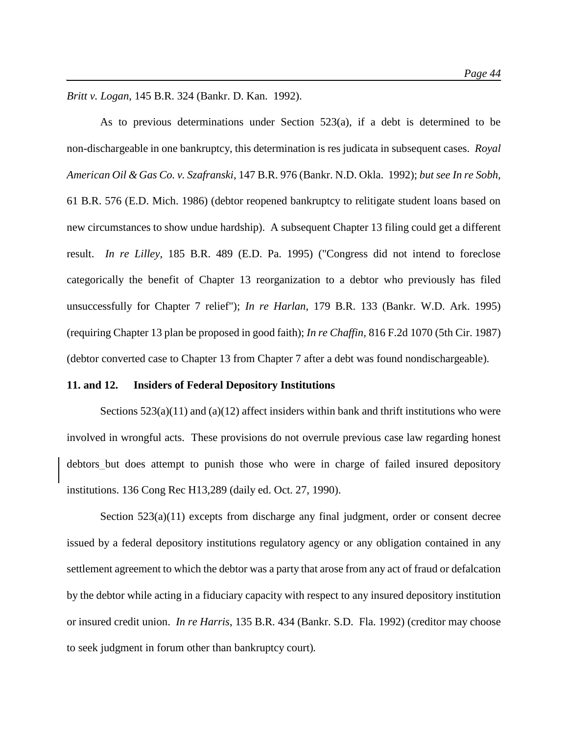*Britt v. Logan*, 145 B.R. 324 (Bankr. D. Kan. 1992).

As to previous determinations under Section 523(a), if a debt is determined to be non-dischargeable in one bankruptcy, this determination is res judicata in subsequent cases. *Royal American Oil & Gas Co. v. Szafranski*, 147 B.R. 976 (Bankr. N.D. Okla. 1992); *but see In re Sobh,*  61 B.R. 576 (E.D. Mich. 1986) (debtor reopened bankruptcy to relitigate student loans based on new circumstances to show undue hardship). A subsequent Chapter 13 filing could get a different result. *In re Lilley,* 185 B.R. 489 (E.D. Pa. 1995) ("Congress did not intend to foreclose categorically the benefit of Chapter 13 reorganization to a debtor who previously has filed unsuccessfully for Chapter 7 relief"); *In re Harlan*, 179 B.R. 133 (Bankr. W.D. Ark. 1995) (requiring Chapter 13 plan be proposed in good faith); *In re Chaffin,* 816 F.2d 1070 (5th Cir. 1987) (debtor converted case to Chapter 13 from Chapter 7 after a debt was found nondischargeable).

#### **11. and 12. Insiders of Federal Depository Institutions**

Sections  $523(a)(11)$  and  $(a)(12)$  affect insiders within bank and thrift institutions who were involved in wrongful acts. These provisions do not overrule previous case law regarding honest debtors but does attempt to punish those who were in charge of failed insured depository institutions. 136 Cong Rec H13,289 (daily ed. Oct. 27, 1990).

Section  $523(a)(11)$  excepts from discharge any final judgment, order or consent decree issued by a federal depository institutions regulatory agency or any obligation contained in any settlement agreement to which the debtor was a party that arose from any act of fraud or defalcation by the debtor while acting in a fiduciary capacity with respect to any insured depository institution or insured credit union. *In re Harris*, 135 B.R. 434 (Bankr. S.D. Fla. 1992) (creditor may choose to seek judgment in forum other than bankruptcy court)*.*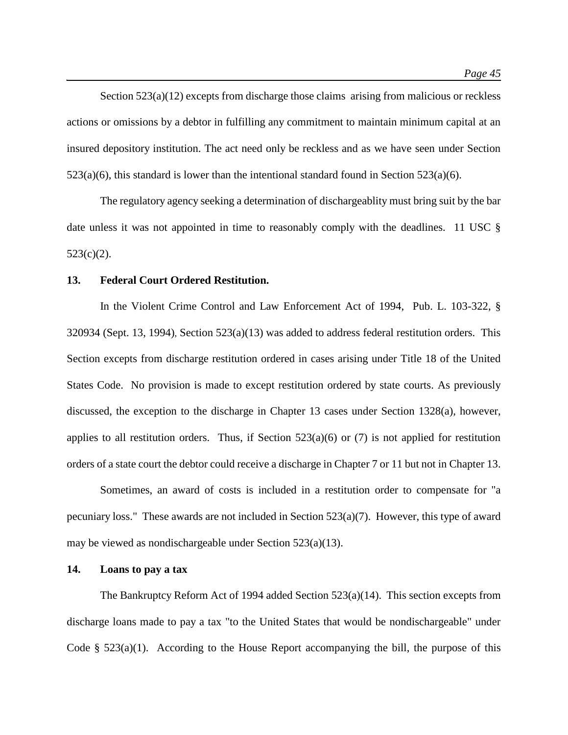Section 523(a)(12) excepts from discharge those claims arising from malicious or reckless actions or omissions by a debtor in fulfilling any commitment to maintain minimum capital at an insured depository institution. The act need only be reckless and as we have seen under Section  $523(a)(6)$ , this standard is lower than the intentional standard found in Section  $523(a)(6)$ .

The regulatory agency seeking a determination of dischargeablity must bring suit by the bar date unless it was not appointed in time to reasonably comply with the deadlines. 11 USC §  $523(c)(2)$ .

#### **13. Federal Court Ordered Restitution.**

In the Violent Crime Control and Law Enforcement Act of 1994, Pub. L. 103-322, § 320934 (Sept. 13, 1994), Section 523(a)(13) was added to address federal restitution orders. This Section excepts from discharge restitution ordered in cases arising under Title 18 of the United States Code. No provision is made to except restitution ordered by state courts. As previously discussed, the exception to the discharge in Chapter 13 cases under Section 1328(a), however, applies to all restitution orders. Thus, if Section  $523(a)(6)$  or (7) is not applied for restitution orders of a state court the debtor could receive a discharge in Chapter 7 or 11 but not in Chapter 13.

Sometimes, an award of costs is included in a restitution order to compensate for "a pecuniary loss." These awards are not included in Section 523(a)(7). However, this type of award may be viewed as nondischargeable under Section 523(a)(13).

# **14. Loans to pay a tax**

The Bankruptcy Reform Act of 1994 added Section  $523(a)(14)$ . This section excepts from discharge loans made to pay a tax "to the United States that would be nondischargeable" under Code  $\S$  523(a)(1). According to the House Report accompanying the bill, the purpose of this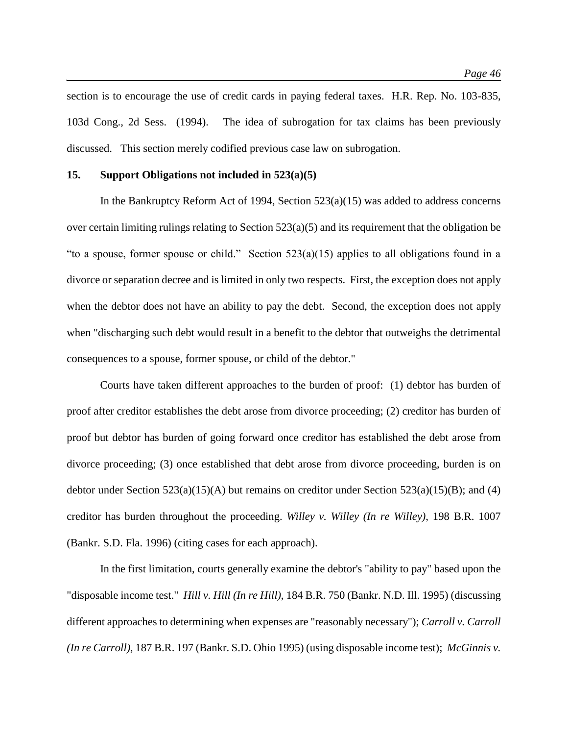section is to encourage the use of credit cards in paying federal taxes. H.R. Rep. No. 103-835, 103d Cong., 2d Sess. (1994). The idea of subrogation for tax claims has been previously discussed. This section merely codified previous case law on subrogation.

#### **15. Support Obligations not included in 523(a)(5)**

In the Bankruptcy Reform Act of 1994, Section 523(a)(15) was added to address concerns over certain limiting rulings relating to Section  $523(a)(5)$  and its requirement that the obligation be "to a spouse, former spouse or child." Section 523(a)(15) applies to all obligations found in a divorce or separation decree and is limited in only two respects. First, the exception does not apply when the debtor does not have an ability to pay the debt. Second, the exception does not apply when "discharging such debt would result in a benefit to the debtor that outweighs the detrimental consequences to a spouse, former spouse, or child of the debtor."

Courts have taken different approaches to the burden of proof: (1) debtor has burden of proof after creditor establishes the debt arose from divorce proceeding; (2) creditor has burden of proof but debtor has burden of going forward once creditor has established the debt arose from divorce proceeding; (3) once established that debt arose from divorce proceeding, burden is on debtor under Section 523(a)(15)(A) but remains on creditor under Section 523(a)(15)(B); and (4) creditor has burden throughout the proceeding. *Willey v. Willey (In re Willey)*, 198 B.R. 1007 (Bankr. S.D. Fla. 1996) (citing cases for each approach).

In the first limitation, courts generally examine the debtor's "ability to pay" based upon the "disposable income test." *Hill v. Hill (In re Hill)*, 184 B.R. 750 (Bankr. N.D. Ill. 1995) (discussing different approaches to determining when expenses are "reasonably necessary"); *Carroll v. Carroll (In re Carroll)*, 187 B.R. 197 (Bankr. S.D. Ohio 1995) (using disposable income test); *McGinnis v.*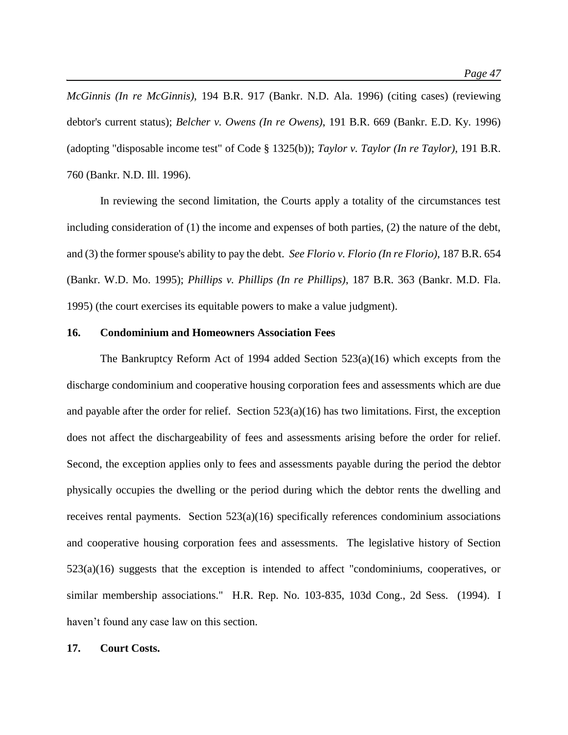*McGinnis (In re McGinnis)*, 194 B.R. 917 (Bankr. N.D. Ala. 1996) (citing cases) (reviewing debtor's current status); *Belcher v. Owens (In re Owens)*, 191 B.R. 669 (Bankr. E.D. Ky. 1996) (adopting "disposable income test" of Code § 1325(b)); *Taylor v. Taylor (In re Taylor)*, 191 B.R. 760 (Bankr. N.D. Ill. 1996).

In reviewing the second limitation, the Courts apply a totality of the circumstances test including consideration of (1) the income and expenses of both parties, (2) the nature of the debt, and (3) the former spouse's ability to pay the debt. *See Florio v. Florio (In re Florio)*, 187 B.R. 654 (Bankr. W.D. Mo. 1995); *Phillips v. Phillips (In re Phillips)*, 187 B.R. 363 (Bankr. M.D. Fla. 1995) (the court exercises its equitable powers to make a value judgment).

#### **16. Condominium and Homeowners Association Fees**

The Bankruptcy Reform Act of 1994 added Section 523(a)(16) which excepts from the discharge condominium and cooperative housing corporation fees and assessments which are due and payable after the order for relief. Section 523(a)(16) has two limitations. First, the exception does not affect the dischargeability of fees and assessments arising before the order for relief. Second, the exception applies only to fees and assessments payable during the period the debtor physically occupies the dwelling or the period during which the debtor rents the dwelling and receives rental payments. Section  $523(a)(16)$  specifically references condominium associations and cooperative housing corporation fees and assessments. The legislative history of Section  $523(a)(16)$  suggests that the exception is intended to affect "condominiums, cooperatives, or similar membership associations." H.R. Rep. No. 103-835, 103d Cong., 2d Sess. (1994). I haven't found any case law on this section.

#### **17. Court Costs.**